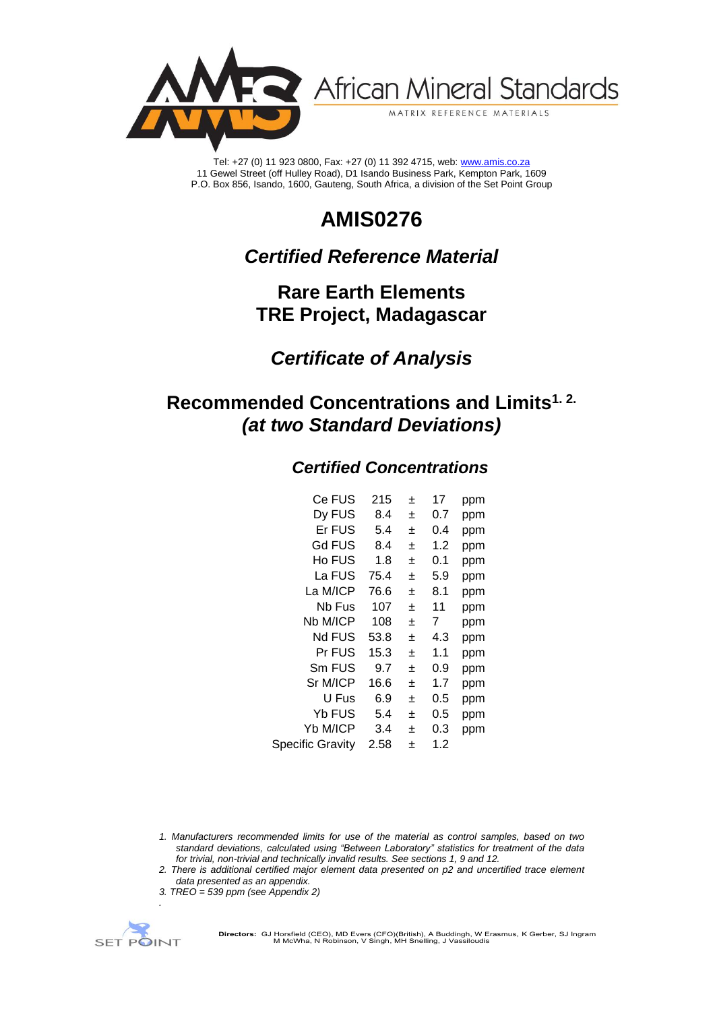

African Mineral Standards

MATRIX REFERENCE MATERIALS

Tel: +27 (0) 11 923 0800, Fax: +27 (0) 11 392 4715, web[: www.amis.co.za](http://www.amis.co.za/) 11 Gewel Street (off Hulley Road), D1 Isando Business Park, Kempton Park, 1609 P.O. Box 856, Isando, 1600, Gauteng, South Africa, a division of the Set Point Group

# **AMIS0276**

## *Certified Reference Material*

## **Rare Earth Elements TRE Project, Madagascar**

## *Certificate of Analysis*

## **Recommended Concentrations and Limits1. 2.** *(at two Standard Deviations)*

## *Certified Concentrations*

| Ce FUS                  | 215  | 土 | 17  | ppm |
|-------------------------|------|---|-----|-----|
| Dy FUS                  | 8.4  | 土 | 0.7 | ppm |
| Er FUS                  | 5.4  | 士 | 0.4 | ppm |
| Gd FUS                  | 8.4  | 士 | 1.2 | ppm |
| Ho FUS                  | 1.8  | 土 | 0.1 | ppm |
| La FUS                  | 75.4 | 土 | 5.9 | ppm |
| La M/ICP                | 76.6 | 土 | 8.1 | ppm |
| Nb Fus                  | 107  | 士 | 11  | ppm |
| Nb M/ICP                | 108  | 士 | 7   | ppm |
| Nd FUS                  | 53.8 | 土 | 4.3 | ppm |
| Pr FUS                  | 15.3 | ÷ | 1.1 | ppm |
| Sm FUS                  | 9.7  | 土 | 0.9 | ppm |
| Sr M/ICP                | 16.6 | 土 | 1.7 | ppm |
| U Fus                   | 6.9  | 士 | 0.5 | ppm |
| Yb FUS                  | 5.4  | 土 | 0.5 | ppm |
| Yb M/ICP                | 3.4  | ÷ | 0.3 | ppm |
| <b>Specific Gravity</b> | 2.58 | 士 | 1.2 |     |

- *1. Manufacturers recommended limits for use of the material as control samples, based on two standard deviations, calculated using "Between Laboratory" statistics for treatment of the data for trivial, non-trivial and technically invalid results. See sections 1, 9 and 12.*
- *2. There is additional certified major element data presented on p2 and uncertified trace element data presented as an appendix.*
- *3. TREO = 539 ppm (see Appendix 2)*



*.*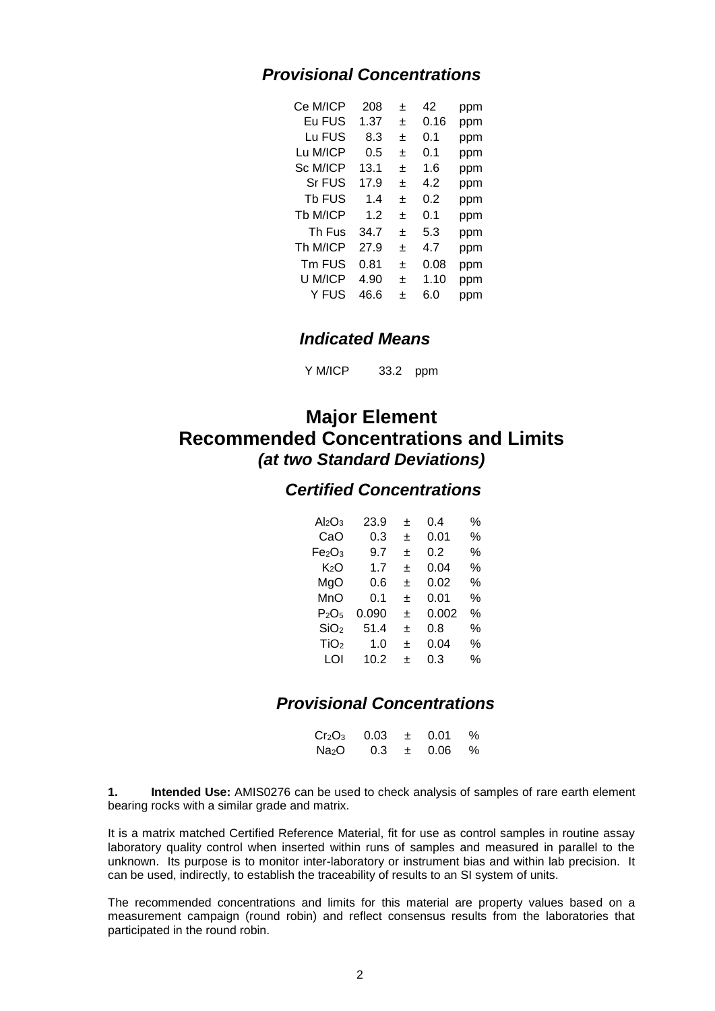## *Provisional Concentrations*

| Ce M/ICP | 208  | 士 | 42   | ppm |
|----------|------|---|------|-----|
| Eu FUS   | 1.37 | 士 | 0.16 | ppm |
| Lu FUS   | 8.3  | 士 | 0.1  | ppm |
| Lu M/ICP | 0.5  | 士 | 0.1  | ppm |
| Sc M/ICP | 13.1 | 士 | 1.6  | ppm |
| Sr FUS   | 17.9 | 土 | 42   | ppm |
| Tb FUS   | 1.4  | 土 | 0.2  | ppm |
| Tb M/ICP | 1.2  | ÷ | 0.1  | ppm |
| Th Fus   | 34.7 | ÷ | 5.3  | ppm |
| Th M/ICP | 27.9 | ÷ | 4.7  | ppm |
| Tm FUS   | 0.81 | 士 | 0.08 | ppm |
| U M/ICP  | 4.90 | ÷ | 1.10 | ppm |
| Y FUS    | 46.6 | 土 | 6.0  | ppm |

### *Indicated Means*

Y M/ICP 33.2 ppm

## **Major Element Recommended Concentrations and Limits** *(at two Standard Deviations)*

### *Certified Concentrations*

| $Al_2O_3$        | 23.9  | ÷ | 0.4   | % |
|------------------|-------|---|-------|---|
| CaO              | 0.3   | 土 | 0.01  | % |
| Fe2O3            | 9.7   | 士 | 0.2   | % |
| K2O              | 1.7   | 士 | 0.04  | % |
| MgO              | 0.6   | ÷ | 0.02  | % |
| MnO              | 0.1   | 士 | 0.01  | % |
| P2O5             | 0.090 | ÷ | 0.002 | % |
| SiO <sub>2</sub> | 51.4  | 士 | 0.8   | % |
| TiO <sub>2</sub> | 1.0   | ÷ | 0.04  | % |
| LOI              | 10.2  | ÷ | 0.3   | % |
|                  |       |   |       |   |

## *Provisional Concentrations*

| $Cr_2O_3$         | 0.03 | $\pm$ | 0.01 | % |
|-------------------|------|-------|------|---|
| Na <sub>2</sub> O | 0.3  | 土     | 0.06 | % |

**1. Intended Use:** AMIS0276 can be used to check analysis of samples of rare earth element bearing rocks with a similar grade and matrix.

It is a matrix matched Certified Reference Material, fit for use as control samples in routine assay laboratory quality control when inserted within runs of samples and measured in parallel to the unknown. Its purpose is to monitor inter-laboratory or instrument bias and within lab precision. It can be used, indirectly, to establish the traceability of results to an SI system of units.

The recommended concentrations and limits for this material are property values based on a measurement campaign (round robin) and reflect consensus results from the laboratories that participated in the round robin.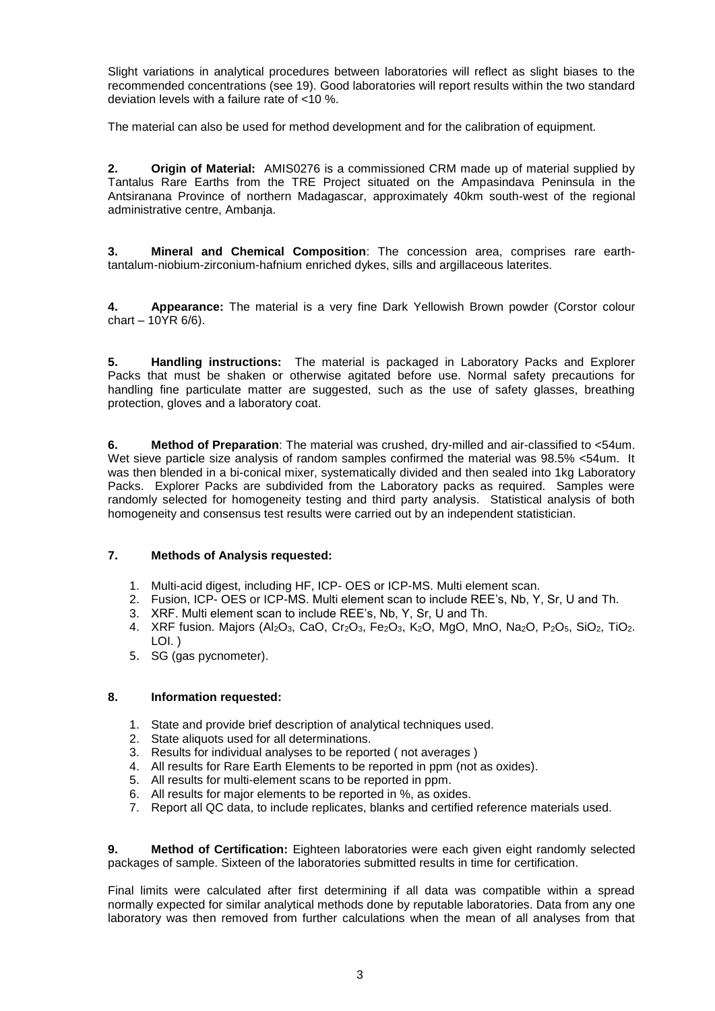Slight variations in analytical procedures between laboratories will reflect as slight biases to the recommended concentrations (see 19). Good laboratories will report results within the two standard deviation levels with a failure rate of <10 %.

The material can also be used for method development and for the calibration of equipment.

**2. Origin of Material:** AMIS0276 is a commissioned CRM made up of material supplied by Tantalus Rare Earths from the TRE Project situated on the Ampasindava Peninsula in the Antsiranana Province of northern Madagascar, approximately 40km south-west of the regional administrative centre, Ambanja.

**3. Mineral and Chemical Composition**: The concession area, comprises rare earthtantalum-niobium-zirconium-hafnium enriched dykes, sills and argillaceous laterites.

**4. Appearance:** The material is a very fine Dark Yellowish Brown powder (Corstor colour chart – 10YR 6/6).

**5. Handling instructions:** The material is packaged in Laboratory Packs and Explorer Packs that must be shaken or otherwise agitated before use. Normal safety precautions for handling fine particulate matter are suggested, such as the use of safety glasses, breathing protection, gloves and a laboratory coat.

**6. Method of Preparation**: The material was crushed, dry-milled and air-classified to <54um. Wet sieve parti**c**le size analysis of random samples confirmed the material was 98.5% <54um. It was then blended in a bi-conical mixer, systematically divided and then sealed into 1kg Laboratory Packs. Explorer Packs are subdivided from the Laboratory packs as required. Samples were randomly selected for homogeneity testing and third party analysis. Statistical analysis of both homogeneity and consensus test results were carried out by an independent statistician.

#### **7. Methods of Analysis requested:**

- 1. Multi-acid digest, including HF, ICP- OES or ICP-MS. Multi element scan.
- 2. Fusion, ICP- OES or ICP-MS. Multi element scan to include REE's, Nb, Y, Sr, U and Th.
- 3. XRF. Multi element scan to include REE's, Nb, Y, Sr, U and Th.
- 4. XRF fusion. Majors (Al<sub>2</sub>O<sub>3</sub>, CaO, Cr<sub>2</sub>O<sub>3</sub>, Fe<sub>2</sub>O<sub>3</sub>, K<sub>2</sub>O, MgO, MnO, Na<sub>2</sub>O, P<sub>2</sub>O<sub>5</sub>, SiO<sub>2</sub>, TiO<sub>2</sub>. LOI. )
- 5. SG (gas pycnometer).

#### **8. Information requested:**

- 1. State and provide brief description of analytical techniques used.
- 2. State aliquots used for all determinations.
- 3. Results for individual analyses to be reported ( not averages )
- 4. All results for Rare Earth Elements to be reported in ppm (not as oxides).
- 5. All results for multi-element scans to be reported in ppm.
- 6. All results for major elements to be reported in %, as oxides.
- 7. Report all QC data, to include replicates, blanks and certified reference materials used.

**9. Method of Certification:** Eighteen laboratories were each given eight randomly selected packages of sample. Sixteen of the laboratories submitted results in time for certification.

Final limits were calculated after first determining if all data was compatible within a spread normally expected for similar analytical methods done by reputable laboratories. Data from any one laboratory was then removed from further calculations when the mean of all analyses from that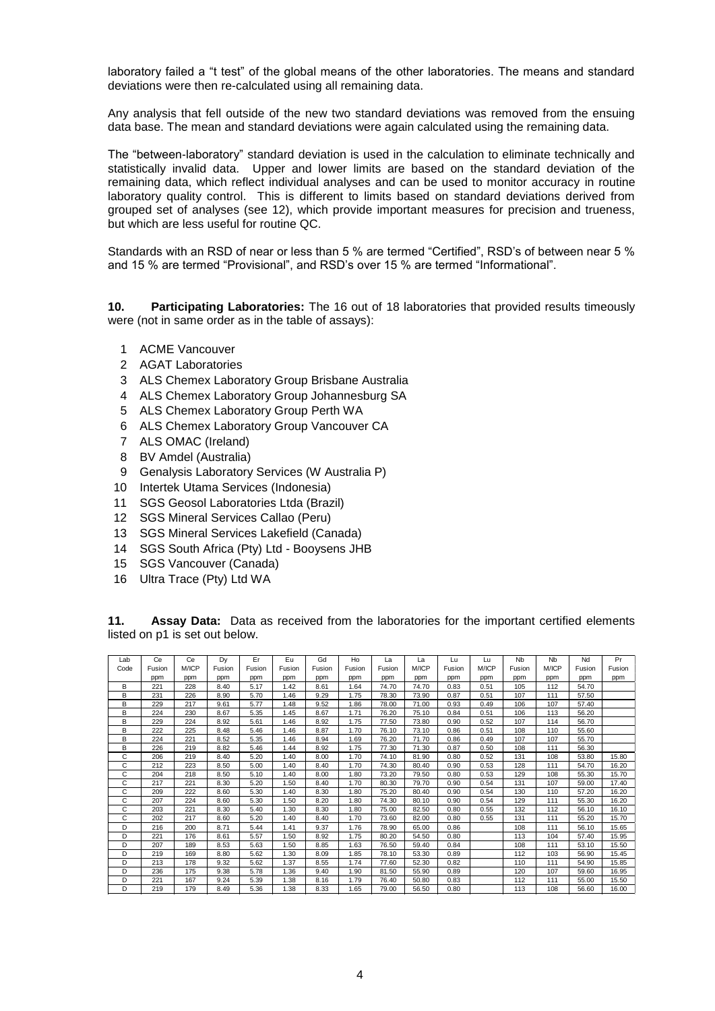laboratory failed a "t test" of the global means of the other laboratories. The means and standard deviations were then re-calculated using all remaining data.

Any analysis that fell outside of the new two standard deviations was removed from the ensuing data base. The mean and standard deviations were again calculated using the remaining data.

The "between-laboratory" standard deviation is used in the calculation to eliminate technically and statistically invalid data. Upper and lower limits are based on the standard deviation of the remaining data, which reflect individual analyses and can be used to monitor accuracy in routine laboratory quality control. This is different to limits based on standard deviations derived from grouped set of analyses (see 12), which provide important measures for precision and trueness, but which are less useful for routine QC.

Standards with an RSD of near or less than 5 % are termed "Certified", RSD's of between near 5 % and 15 % are termed "Provisional", and RSD's over 15 % are termed "Informational".

**10. Participating Laboratories:** The 16 out of 18 laboratories that provided results timeously were (not in same order as in the table of assays):

- 1 ACME Vancouver
- 2 AGAT Laboratories
- 3 ALS Chemex Laboratory Group Brisbane Australia
- 4 ALS Chemex Laboratory Group Johannesburg SA
- 5 ALS Chemex Laboratory Group Perth WA
- 6 ALS Chemex Laboratory Group Vancouver CA
- 7 ALS OMAC (Ireland)
- 8 BV Amdel (Australia)
- 9 Genalysis Laboratory Services (W Australia P)
- 10 Intertek Utama Services (Indonesia)
- 11 SGS Geosol Laboratories Ltda (Brazil)
- 12 SGS Mineral Services Callao (Peru)
- 13 SGS Mineral Services Lakefield (Canada)
- 14 SGS South Africa (Pty) Ltd Booysens JHB
- 15 SGS Vancouver (Canada)
- 16 Ultra Trace (Pty) Ltd WA

**11. Assay Data:** Data as received from the laboratories for the important certified elements listed on p1 is set out below. **Assay Data:** Data as received from the laboratories for the important certified element<br>
Lab Ce Ce Dy Er Eu Gd Ho La Lu Lu Nb Nb Nd Pr<br>
Dode Fusion M/ICP Fusion Fusion Fusion Fusion Fusion Fusion M/ICP Fusion M/ICP Fusio

| Lab  | Ce     | Ce    | Dy     | Er     | Eu     | Gd     | Ho     | La     | La    | Lu.    | Lu    | <b>N<sub>b</sub></b> | <b>N<sub>b</sub></b> | Nd     | Pr     |
|------|--------|-------|--------|--------|--------|--------|--------|--------|-------|--------|-------|----------------------|----------------------|--------|--------|
| Code | Fusion | M/ICP | Fusion | Fusion | Fusion | Fusion | Fusion | Fusion | M/ICP | Fusion | M/ICP | Fusion               | M/ICP                | Fusion | Fusion |
|      | ppm    | ppm   | ppm    | ppm    | ppm    | ppm    | ppm    | ppm    | ppm   | ppm    | ppm   | ppm                  | ppm                  | ppm    | ppm    |
| в    | 221    | 228   | 8.40   | 5.17   | 1.42   | 8.61   | 1.64   | 74.70  | 74.70 | 0.83   | 0.51  | 105                  | 112                  | 54.70  |        |
| в    | 231    | 226   | 8.90   | 5.70   | 1.46   | 9.29   | 1.75   | 78.30  | 73.90 | 0.87   | 0.51  | 107                  | 111                  | 57.50  |        |
| в    | 229    | 217   | 9.61   | 5.77   | 1.48   | 9.52   | 1.86   | 78.00  | 71.00 | 0.93   | 0.49  | 106                  | 107                  | 57.40  |        |
| в    | 224    | 230   | 8.67   | 5.35   | 1.45   | 8.67   | 1.71   | 76.20  | 75.10 | 0.84   | 0.51  | 106                  | 113                  | 56.20  |        |
| в    | 229    | 224   | 8.92   | 5.61   | 1.46   | 8.92   | 1.75   | 77.50  | 73.80 | 0.90   | 0.52  | 107                  | 114                  | 56.70  |        |
| в    | 222    | 225   | 8.48   | 5.46   | 1.46   | 8.87   | 1.70   | 76.10  | 73.10 | 0.86   | 0.51  | 108                  | 110                  | 55.60  |        |
| в    | 224    | 221   | 8.52   | 5.35   | 1.46   | 8.94   | 1.69   | 76.20  | 71.70 | 0.86   | 0.49  | 107                  | 107                  | 55.70  |        |
| B    | 226    | 219   | 8.82   | 5.46   | 1.44   | 8.92   | 1.75   | 77.30  | 71.30 | 0.87   | 0.50  | 108                  | 111                  | 56.30  |        |
| C    | 206    | 219   | 8.40   | 5.20   | 1.40   | 8.00   | 1.70   | 74.10  | 81.90 | 0.80   | 0.52  | 131                  | 108                  | 53.80  | 15.80  |
| C    | 212    | 223   | 8.50   | 5.00   | 1.40   | 8.40   | 1.70   | 74.30  | 80.40 | 0.90   | 0.53  | 128                  | 111                  | 54.70  | 16.20  |
| C    | 204    | 218   | 8.50   | 5.10   | 1.40   | 8.00   | 1.80   | 73.20  | 79.50 | 0.80   | 0.53  | 129                  | 108                  | 55.30  | 15.70  |
| C    | 217    | 221   | 8.30   | 5.20   | 1.50   | 8.40   | 1.70   | 80.30  | 79.70 | 0.90   | 0.54  | 131                  | 107                  | 59.00  | 17.40  |
| C    | 209    | 222   | 8.60   | 5.30   | 1.40   | 8.30   | 1.80   | 75.20  | 80.40 | 0.90   | 0.54  | 130                  | 110                  | 57.20  | 16.20  |
| C    | 207    | 224   | 8.60   | 5.30   | 1.50   | 8.20   | 1.80   | 74.30  | 80.10 | 0.90   | 0.54  | 129                  | 111                  | 55.30  | 16.20  |
| C    | 203    | 221   | 8.30   | 5.40   | 1.30   | 8.30   | 1.80   | 75.00  | 82.50 | 0.80   | 0.55  | 132                  | 112                  | 56.10  | 16.10  |
| C    | 202    | 217   | 8.60   | 5.20   | 1.40   | 8.40   | 1.70   | 73.60  | 82.00 | 0.80   | 0.55  | 131                  | 111                  | 55.20  | 15.70  |
| D    | 216    | 200   | 8.71   | 5.44   | 1.41   | 9.37   | 1.76   | 78.90  | 65.00 | 0.86   |       | 108                  | 111                  | 56.10  | 15.65  |
| D    | 221    | 176   | 8.61   | 5.57   | 1.50   | 8.92   | 1.75   | 80.20  | 54.50 | 0.80   |       | 113                  | 104                  | 57.40  | 15.95  |
| D    | 207    | 189   | 8.53   | 5.63   | 1.50   | 8.85   | 1.63   | 76.50  | 59.40 | 0.84   |       | 108                  | 111                  | 53.10  | 15.50  |
| D    | 219    | 169   | 8.80   | 5.62   | 1.30   | 8.09   | 1.85   | 78.10  | 53.30 | 0.89   |       | 112                  | 103                  | 56.90  | 15.45  |
| D    | 213    | 178   | 9.32   | 5.62   | 1.37   | 8.55   | 1.74   | 77.60  | 52.30 | 0.82   |       | 110                  | 111                  | 54.90  | 15.85  |
| D    | 236    | 175   | 9.38   | 5.78   | 1.36   | 9.40   | 1.90   | 81.50  | 55.90 | 0.89   |       | 120                  | 107                  | 59.60  | 16.95  |
| D    | 221    | 167   | 9.24   | 5.39   | 1.38   | 8.16   | 1.79   | 76.40  | 50.80 | 0.83   |       | 112                  | 111                  | 55.00  | 15.50  |
| D    | 219    | 179   | 8.49   | 5.36   | 1.38   | 8.33   | 1.65   | 79.00  | 56.50 | 0.80   |       | 113                  | 108                  | 56.60  | 16.00  |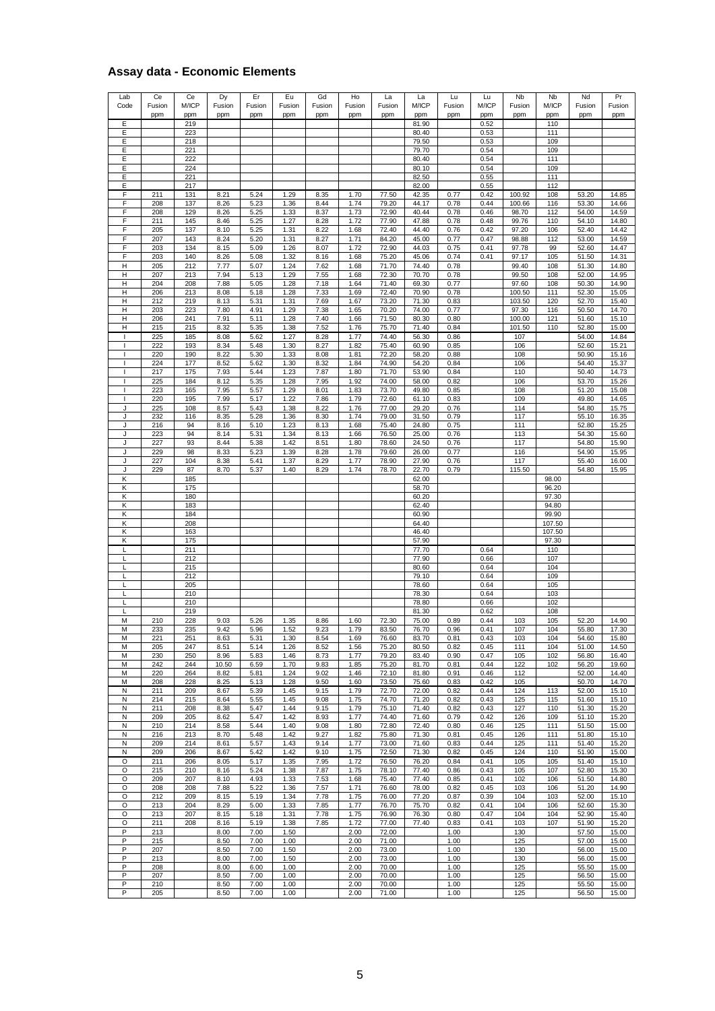### **Assay data - Economic Elements**

| Lab<br>Code         | Ce<br>Fusion | Ce<br>M/ICP | Dy<br>Fusion | Er<br>Fusion         | Eu<br>Fusion         | Gd<br>Fusion | Ho<br>Fusion         | La<br>Fusion   | La<br>M/ICP    | Lu<br>Fusion         | Lu<br>M/ICP  | Nb<br>Fusion      | <b>N<sub>b</sub></b><br>M/ICP | Nd<br>Fusion            | Pr<br>Fusion            |
|---------------------|--------------|-------------|--------------|----------------------|----------------------|--------------|----------------------|----------------|----------------|----------------------|--------------|-------------------|-------------------------------|-------------------------|-------------------------|
| Ε                   | ppm          | ppm<br>219  | ppm          | ppm                  | ppm                  | ppm          | ppm                  | ppm            | ppm<br>81.90   | ppm                  | ppm<br>0.52  | ppm               | ppm<br>110                    | ppm                     | ppm                     |
| Ε                   |              | 223         |              |                      |                      |              |                      |                | 80.40          |                      | 0.53         |                   | 111                           |                         |                         |
| Е                   |              | 218         |              |                      |                      |              |                      |                | 79.50          |                      | 0.53         |                   | 109                           |                         |                         |
| Ε<br>Е              |              | 221<br>222  |              |                      |                      |              |                      |                | 79.70<br>80.40 |                      | 0.54<br>0.54 |                   | 109<br>111                    |                         |                         |
| Ε                   |              | 224         |              |                      |                      |              |                      |                | 80.10          |                      | 0.54         |                   | 109                           |                         |                         |
| Е                   |              | 221         |              |                      |                      |              |                      |                | 82.50          |                      | 0.55         |                   | 111                           |                         |                         |
| Е<br>F              | 211          | 217<br>131  | 8.21         | 5.24                 | 1.29                 | 8.35         | 1.70                 | 77.50          | 82.00<br>42.35 | 0.77                 | 0.55<br>0.42 | 100.92            | 112<br>108                    | 53.20                   | 14.85                   |
| F                   | 208          | 137         | 8.26         | 5.23                 | 1.36                 | 8.44         | 1.74                 | 79.20          | 44.17          | 0.78                 | 0.44         | 100.66            | 116                           | 53.30                   | 14.66                   |
| F                   | 208          | 129         | 8.26         | 5.25                 | 1.33                 | 8.37         | 1.73                 | 72.90          | 40.44          | 0.78                 | 0.46         | 98.70             | 112                           | 54.00                   | 14.59                   |
| F<br>F              | 211<br>205   | 145<br>137  | 8.46<br>8.10 | 5.25<br>5.25         | 1.27<br>1.31         | 8.28<br>8.22 | 1.72<br>1.68         | 77.90<br>72.40 | 47.88<br>44.40 | 0.78<br>0.76         | 0.48<br>0.42 | 99.76<br>97.20    | 110<br>106                    | 54.10<br>52.40          | 14.80<br>14.42          |
| F                   | 207          | 143         | 8.24         | 5.20                 | 1.31                 | 8.27         | 1.71                 | 84.20          | 45.00          | 0.77                 | 0.47         | 98.88             | 112                           | 53.00                   | 14.59                   |
| F                   | 203          | 134         | 8.15         | 5.09                 | 1.26                 | 8.07         | 1.72                 | 72.90          | 44.03          | 0.75                 | 0.41         | 97.78             | 99                            | 52.60                   | 14.47                   |
| F                   | 203          | 140         | 8.26         | 5.08                 | 1.32                 | 8.16         | 1.68                 | 75.20          | 45.06          | 0.74<br>0.78         | 0.41         | 97.17<br>99.40    | 105<br>108                    | 51.50                   | 14.31                   |
| н<br>$\mathsf H$    | 205<br>207   | 212<br>213  | 7.77<br>7.94 | 5.07<br>5.13         | 1.24<br>1.29         | 7.62<br>7.55 | 1.68<br>1.68         | 71.70<br>72.30 | 74.40<br>70.70 | 0.78                 |              | 99.50             | 108                           | 51.30<br>52.00          | 14.80<br>14.95          |
| Н                   | 204          | 208         | 7.88         | 5.05                 | 1.28                 | 7.18         | 1.64                 | 71.40          | 69.30          | 0.77                 |              | 97.60             | 108                           | 50.30                   | 14.90                   |
| н                   | 206          | 213         | 8.08         | 5.18                 | 1.28                 | 7.33         | 1.69                 | 72.40          | 70.90          | 0.78                 |              | 100.50            | 111                           | 52.30                   | 15.05                   |
| н<br>н              | 212<br>203   | 219<br>223  | 8.13<br>7.80 | 5.31<br>4.91         | 1.31<br>1.29         | 7.69<br>7.38 | 1.67<br>1.65         | 73.20<br>70.20 | 71.30<br>74.00 | 0.83<br>0.77         |              | 103.50<br>97.30   | 120<br>116                    | 52.70<br>50.50          | 15.40<br>14.70          |
| н                   | 206          | 241         | 7.91         | 5.11                 | 1.28                 | 7.40         | 1.66                 | 71.50          | 80.30          | 0.80                 |              | 100.00            | 121                           | 51.60                   | 15.10                   |
| Н                   | 215          | 215         | 8.32         | 5.35                 | 1.38                 | 7.52         | 1.76                 | 75.70          | 71.40          | 0.84                 |              | 101.50            | 110                           | 52.80                   | 15.00                   |
| <sup>1</sup>        | 225<br>222   | 185<br>193  | 8.08<br>8.34 | 5.62<br>5.48         | 1.27<br>1.30         | 8.28<br>8.27 | 1.77<br>1.82         | 74.40<br>75.40 | 56.30<br>60.90 | 0.86<br>0.85         |              | 107<br>106        |                               | 54.00<br>52.60          | 14.84<br>15.21          |
|                     | 220          | 190         | 8.22         | 5.30                 | 1.33                 | 8.08         | 1.81                 | 72.20          | 58.20          | 0.88                 |              | 108               |                               | 50.90                   | 15.16                   |
| 1                   | 224          | 177         | 8.52         | 5.62                 | 1.30                 | 8.32         | 1.84                 | 74.90          | 54.20          | 0.84                 |              | 106               |                               | 54.40                   | 15.37                   |
| $\overline{1}$      | 217          | 175         | 7.93         | 5.44                 | 1.23                 | 7.87         | 1.80                 | 71.70          | 53.90          | 0.84                 |              | 110               |                               | 50.40                   | 14.73                   |
| 1<br>$\overline{1}$ | 225<br>223   | 184<br>165  | 8.12<br>7.95 | 5.35<br>5.57         | 1.28<br>1.29         | 7.95<br>8.01 | 1.92<br>1.83         | 74.00<br>73.70 | 58.00<br>49.80 | 0.82<br>0.85         |              | 106<br>108        |                               | 53.70<br>51.20          | 15.26<br>15.08          |
| $\mathbf{I}$        | 220          | 195         | 7.99         | 5.17                 | 1.22                 | 7.86         | 1.79                 | 72.60          | 61.10          | 0.83                 |              | 109               |                               | 49.80                   | 14.65                   |
| J                   | 225          | 108         | 8.57         | 5.43                 | 1.38                 | 8.22         | 1.76                 | 77.00          | 29.20          | 0.76                 |              | 114               |                               | 54.80                   | 15.75                   |
| J<br>J              | 232<br>216   | 116<br>94   | 8.35<br>8.16 | 5.28<br>5.10         | 1.36<br>1.23         | 8.30<br>8.13 | 1.74<br>1.68         | 79.00<br>75.40 | 31.50<br>24.80 | 0.79<br>0.75         |              | 117<br>111        |                               | 55.10<br>52.80          | 16.35<br>15.25          |
| J                   | 223          | 94          | 8.14         | 5.31                 | 1.34                 | 8.13         | 1.66                 | 76.50          | 25.00          | 0.76                 |              | 113               |                               | 54.30                   | 15.60                   |
| J                   | 227          | 93          | 8.44         | 5.38                 | 1.42                 | 8.51         | 1.80                 | 78.60          | 24.50          | 0.76                 |              | 117               |                               | 54.80                   | 15.90                   |
| J<br>J              | 229<br>227   | 98<br>104   | 8.33<br>8.38 | 5.23                 | 1.39<br>1.37         | 8.28<br>8.29 | 1.78<br>1.77         | 79.60<br>78.90 | 26.00<br>27.90 | 0.77<br>0.76         |              | 116<br>117        |                               | 54.90<br>55.40          | 15.95<br>16.00          |
| J                   | 229          | 87          | 8.70         | 5.41<br>5.37         | 1.40                 | 8.29         | 1.74                 | 78.70          | 22.70          | 0.79                 |              | 115.50            |                               | 54.80                   | 15.95                   |
| κ                   |              | 185         |              |                      |                      |              |                      |                | 62.00          |                      |              |                   | 98.00                         |                         |                         |
| Κ                   |              | 175         |              |                      |                      |              |                      |                | 58.70          |                      |              |                   | 96.20                         |                         |                         |
| Κ<br>Κ              |              | 180<br>183  |              |                      |                      |              |                      |                | 60.20<br>62.40 |                      |              |                   | 97.30<br>94.80                |                         |                         |
| κ                   |              | 184         |              |                      |                      |              |                      |                | 60.90          |                      |              |                   | 99.90                         |                         |                         |
| Κ                   |              | 208         |              |                      |                      |              |                      |                | 64.40          |                      |              |                   | 107.50                        |                         |                         |
| Κ<br>K              |              | 163<br>175  |              |                      |                      |              |                      |                | 46.40<br>57.90 |                      |              |                   | 107.50<br>97.30               |                         |                         |
| L                   |              | 211         |              |                      |                      |              |                      |                | 77.70          |                      | 0.64         |                   | 110                           |                         |                         |
| L                   |              | 212         |              |                      |                      |              |                      |                | 77.90          |                      | 0.66         |                   | 107                           |                         |                         |
| L<br>L              |              | 215<br>212  |              |                      |                      |              |                      |                | 80.60<br>79.10 |                      | 0.64<br>0.64 |                   | 104<br>109                    |                         |                         |
|                     |              | 205         |              |                      |                      |              |                      |                | 78.60          |                      | 0.64         |                   | 105                           |                         |                         |
| L                   |              | 210         |              |                      |                      |              |                      |                | 78.30          |                      | 0.64         |                   | 103                           |                         |                         |
| L<br>L              |              | 210<br>219  |              |                      |                      |              |                      |                | 78.80<br>81.30 |                      | 0.66<br>0.62 |                   | 102<br>108                    |                         |                         |
| M                   | 210          | 228         | 9.03         | 5.26                 | 1.35                 | 8.86         | 1.60                 | 72.30          | 75.00          | 0.89                 | 0.44         | 103               | 105                           | 52.20                   | 14.90                   |
| М                   | 233          | 235         | 9.42         | 5.96                 | 1.52                 | 9.23         | 1.79                 | 83.50          | 76.70          | 0.96                 | 0.41         | 107               | 104                           | 55.80                   | 17.30                   |
| М<br>М              | 221<br>205   | 251<br>247  | 8.63<br>8.51 | 5.31<br>5.14         | 1.30<br>1.26         | 8.54<br>8.52 | 1.69<br>1.56         | 76.60<br>75.20 | 83.70<br>80.50 | 0.81<br>0.82         | 0.43<br>0.45 | 103<br>111        | 104<br>104                    | 54.60<br>51.00          | 15.80<br>14.50          |
| M                   | 230          | 250         | 8.96         | 5.83                 | 1.46                 | 8.73         | 1.77                 | 79.20          | 83.40          | 0.90                 | 0.47         | 105               | 102                           | 56.80                   | 16.40                   |
| M                   | 242          | 244         | 10.50        | 6.59                 | 1.70                 | 9.83         | 1.85                 | 75.20          | 81.70          | 0.81                 | 0.44         | 122               | 102                           | 56.20                   | 19.60                   |
| M<br>М              | 220<br>208   | 264<br>228  | 8.82<br>8.25 | 5.81<br>5.13         | 1.24<br>1.28         | 9.02<br>9.50 | 1.46<br>1.60         | 72.10<br>73.50 | 81.80<br>75.60 | 0.91<br>0.83         | 0.46<br>0.42 | 112<br>105        |                               | 52.00<br>50.70          | 14.40<br>14.70          |
| N                   | 211          | 209         | 8.67         | 5.39                 | 1.45                 | 9.15         | 1.79                 | 72.70          | 72.00          | 0.82                 | 0.44         | 124               | 113                           | 52.00                   | 15.10                   |
| N                   | 214          | 215         | 8.64         | 5.55                 | 1.45                 | 9.08         | 1.75                 | 74.70          | 71.20          | 0.82                 | 0.43         | 125               | 115                           | 51.60                   | 15.10                   |
| N                   | 211          | 208         | 8.38         | 5.47                 | 1.44                 | 9.15         | 1.79                 | 75.10          | 71.40          | 0.82                 | 0.43         | 127               | 110                           | 51.30                   | 15.20                   |
| N<br>N              | 209<br>210   | 205<br>214  | 8.62<br>8.58 | 5.47<br>5.44         | 1.42<br>1.40         | 8.93<br>9.08 | 1.77<br>1.80         | 74.40<br>72.80 | 71.60<br>72.40 | 0.79<br>0.80         | 0.42<br>0.46 | 126<br>125        | 109<br>111                    | 51.10<br>51.50          | 15.20<br>15.00          |
| N                   | 216          | 213         | 8.70         | 5.48                 | 1.42                 | 9.27         | 1.82                 | 75.80          | 71.30          | 0.81                 | 0.45         | 126               | 111                           | 51.80                   | 15.10                   |
| N                   | 209          | 214         | 8.61         | 5.57                 | 1.43                 | 9.14         | 1.77                 | 73.00          | 71.60          | 0.83                 | 0.44         | 125               | 111                           | 51.40                   | 15.20                   |
| N<br>$\circ$        | 209<br>211   | 206<br>206  | 8.67<br>8.05 | 5.42<br>5.17         | 1.42<br>1.35         | 9.10<br>7.95 | 1.75<br>1.72         | 72.50<br>76.50 | 71.30<br>76.20 | 0.82<br>0.84         | 0.45<br>0.41 | 124<br>105        | 110<br>105                    | 51.90<br>51.40          | 15.00<br>15.10          |
| O                   | 215          | 210         | 8.16         | 5.24                 | 1.38                 | 7.87         | 1.75                 | 78.10          | 77.40          | 0.86                 | 0.43         | 105               | 107                           | 52.80                   | 15.30                   |
| O                   | 209          | 207         | 8.10         | 4.93                 | 1.33                 | 7.53         | 1.68                 | 75.40          | 77.40          | 0.85                 | 0.41         | 102               | 106                           | 51.50                   | 14.80                   |
| O<br>O              | 208<br>212   | 208<br>209  | 7.88<br>8.15 | 5.22<br>5.19         | 1.36<br>1.34         | 7.57<br>7.78 | 1.71<br>1.75         | 76.60<br>76.00 | 78.00<br>77.20 | 0.82<br>0.87         | 0.45<br>0.39 | 103<br>104        | 106<br>103                    | 51.20<br>52.00          | 14.90<br>15.10          |
|                     | 213          | 204         | 8.29         | 5.00                 | 1.33                 | 7.85         | 1.77                 | 76.70          | 75.70          | 0.82                 | 0.41         | 104               | 106                           | 52.60                   | 15.30                   |
| O                   |              | 207         | 8.15         | 5.18                 | 1.31                 | 7.78         | 1.75                 | 76.90          | 76.30          | 0.80                 | 0.47         | 104               | 104                           | 52.90                   | 15.40                   |
| O                   | 213          |             |              |                      | 1.38                 | 7.85         | 1.72                 | 77.00          | 77.40          | 0.83                 | 0.41         | 103               | 107                           | 51.90                   | 15.20                   |
| O                   | 211          | 208         | 8.16         | 5.19                 |                      |              |                      |                |                |                      |              |                   |                               |                         |                         |
| P<br>P              | 213<br>215   |             | 8.00         | 7.00<br>7.00         | 1.50<br>1.00         |              | 2.00<br>2.00         | 72.00          |                | 1.00<br>1.00         |              | 130<br>125        |                               | 57.50<br>57.00          | 15.00                   |
| P                   | 207          |             | 8.50<br>8.50 | 7.00                 | 1.50                 |              | 2.00                 | 71.00<br>73.00 |                | 1.00                 |              | 130               |                               | 56.00                   | 15.00<br>15.00          |
| P                   | 213          |             | 8.00         | 7.00                 | 1.50                 |              | 2.00                 | 73.00          |                | 1.00                 |              | 130               |                               | 56.00                   | 15.00                   |
| P<br>P              | 208<br>207   |             | 8.00<br>8.50 | 6.00                 | 1.00                 |              | 2.00                 | 70.00<br>70.00 |                | 1.00                 |              | 125               |                               | 55.50                   | 15.00                   |
| P<br>P              | 210<br>205   |             | 8.50<br>8.50 | 7.00<br>7.00<br>7.00 | 1.00<br>1.00<br>1.00 |              | 2.00<br>2.00<br>2.00 | 70.00<br>71.00 |                | 1.00<br>1.00<br>1.00 |              | 125<br>125<br>125 |                               | 56.50<br>55.50<br>56.50 | 15.00<br>15.00<br>15.00 |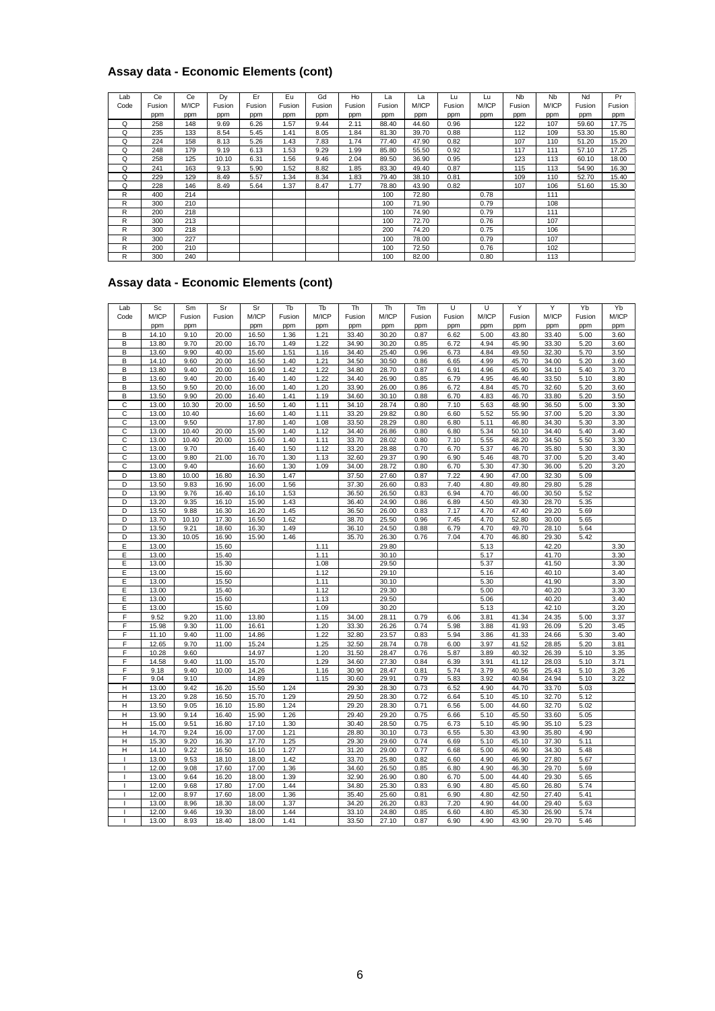### **Assay data - Economic Elements (cont)**

|      | Assay data - Economic Elements (cont) |       |        |        |        |        |        |        |       |        |       |                      |                      |        |        |
|------|---------------------------------------|-------|--------|--------|--------|--------|--------|--------|-------|--------|-------|----------------------|----------------------|--------|--------|
| Lab  | Ce                                    | Ce    | Dy     | Er     | Eu     | Gd     | Ho     | La     | La    | Lu     | Lu    | <b>N<sub>b</sub></b> | <b>N<sub>b</sub></b> | Nd     | Pr     |
| Code | Fusion                                | M/ICP | Fusion | Fusion | Fusion | Fusion | Fusion | Fusion | M/ICP | Fusion | M/ICP | Fusion               | M/ICP                | Fusion | Fusion |
|      | ppm                                   | ppm   | ppm    | ppm    | ppm    | ppm    | ppm    | ppm    | ppm   | ppm    | ppm   | ppm                  | ppm                  | ppm    | ppm    |
| Q    | 258                                   | 148   | 9.69   | 6.26   | 1.57   | 9.44   | 2.11   | 88.40  | 44.60 | 0.96   |       | 122                  | 107                  | 59.60  | 17.75  |
| Q    | 235                                   | 133   | 8.54   | 5.45   | 1.41   | 8.05   | 1.84   | 81.30  | 39.70 | 0.88   |       | 112                  | 109                  | 53.30  | 15.80  |
| Q    | 224                                   | 158   | 8.13   | 5.26   | 1.43   | 7.83   | 1.74   | 77.40  | 47.90 | 0.82   |       | 107                  | 110                  | 51.20  | 15.20  |
| Q    | 248                                   | 179   | 9.19   | 6.13   | 1.53   | 9.29   | 1.99   | 85.80  | 55.50 | 0.92   |       | 117                  | 111                  | 57.10  | 17.25  |
| Q    | 258                                   | 125   | 10.10  | 6.31   | 1.56   | 9.46   | 2.04   | 89.50  | 36.90 | 0.95   |       | 123                  | 113                  | 60.10  | 18.00  |
| Q    | 241                                   | 163   | 9.13   | 5.90   | 1.52   | 8.82   | 1.85   | 83.30  | 49.40 | 0.87   |       | 115                  | 113                  | 54.90  | 16.30  |
| Q    | 229                                   | 129   | 8.49   | 5.57   | 1.34   | 8.34   | 1.83   | 79.40  | 38.10 | 0.81   |       | 109                  | 110                  | 52.70  | 15.40  |
| Q    | 228                                   | 146   | 8.49   | 5.64   | 1.37   | 8.47   | 1.77   | 78.80  | 43.90 | 0.82   |       | 107                  | 106                  | 51.60  | 15.30  |
| R    | 400                                   | 214   |        |        |        |        |        | 100    | 72.80 |        | 0.78  |                      | 111                  |        |        |
| R    | 300                                   | 210   |        |        |        |        |        | 100    | 71.90 |        | 0.79  |                      | 108                  |        |        |
| R    | 200                                   | 218   |        |        |        |        |        | 100    | 74.90 |        | 0.79  |                      | 111                  |        |        |
| R    | 300                                   | 213   |        |        |        |        |        | 100    | 72.70 |        | 0.76  |                      | 107                  |        |        |
| R    | 300                                   | 218   |        |        |        |        |        | 200    | 74.20 |        | 0.75  |                      | 106                  |        |        |
| R    | 300                                   | 227   |        |        |        |        |        | 100    | 78.00 |        | 0.79  |                      | 107                  |        |        |
| R    | 200                                   | 210   |        |        |        |        |        | 100    | 72.50 |        | 0.76  |                      | 102                  |        |        |
| R    | 300                                   | 240   |        |        |        |        |        | 100    | 82.00 |        | 0.80  |                      | 113                  |        |        |

#### **Assay data - Economic Elements (cont)**

| R                                     | 300            | 240           |                |                |              |              |                | 100            | 82.00        |              | 0.80         |                | 113            |              |              |
|---------------------------------------|----------------|---------------|----------------|----------------|--------------|--------------|----------------|----------------|--------------|--------------|--------------|----------------|----------------|--------------|--------------|
| Assay data - Economic Elements (cont) |                |               |                |                |              |              |                |                |              |              |              |                |                |              |              |
|                                       |                |               |                |                |              |              |                |                |              |              |              |                |                |              |              |
| Lab                                   | Sc             | Sm            | Sr             | Sr             | Tb           | Tb           | Th             | <b>Th</b>      | Tm           | U            | U            | Y              | Y              | Yb           | Yb           |
| Code                                  | M/ICP          | Fusion        | Fusion         | M/ICP          | Fusion       | M/ICP        | Fusion         | M/ICP          | Fusion       | Fusion       | M/ICP        | Fusion         | M/ICP          | Fusion       | M/ICP        |
| B                                     | ppm<br>14.10   | ppm<br>9.10   | 20.00          | ppm<br>16.50   | ppm<br>1.36  | ppm<br>1.21  | ppm<br>33.40   | ppm<br>30.20   | ppm<br>0.87  | ppm<br>6.62  | ppm<br>5.00  | ppm<br>43.80   | ppm<br>33.40   | ppm<br>5.00  | ppm<br>3.60  |
| B                                     | 13.80          | 9.70          | 20.00          | 16.70          | 1.49         | 1.22         | 34.90          | 30.20          | 0.85         | 6.72         | 4.94         | 45.90          | 33.30          | 5.20         | 3.60         |
| B                                     | 13.60          | 9.90          | 40.00          | 15.60          | 1.51         | 1.16         | 34.40          | 25.40          | 0.96         | 6.73         | 4.84         | 49.50          | 32.30          | 5.70         | 3.50         |
| B                                     | 14.10          | 9.60          | 20.00          | 16.50          | 1.40         | 1.21         | 34.50          | 30.50          | 0.86         | 6.65         | 4.99         | 45.70          | 34.00          | 5.20         | 3.60         |
| B                                     | 13.80          | 9.40          | 20.00          | 16.90          | 1.42         | 1.22         | 34.80          | 28.70          | 0.87         | 6.91         | 4.96         | 45.90          | 34.10          | 5.40         | 3.70         |
| B                                     | 13.60          | 9.40          | 20.00          | 16.40          | 1.40         | 1.22         | 34.40          | 26.90          | 0.85         | 6.79         | 4.95         | 46.40          | 33.50          | 5.10         | 3.80         |
| B<br>B                                | 13.50          | 9.50<br>9.90  | 20.00<br>20.00 | 16.00<br>16.40 | 1.40<br>1.41 | 1.20<br>1.19 | 33.90<br>34.60 | 26.00<br>30.10 | 0.86<br>0.88 | 6.72         | 4.84<br>4.83 | 45.70<br>46.70 | 32.60<br>33.80 | 5.20<br>5.20 | 3.60<br>3.50 |
| C                                     | 13.50<br>13.00 | 10.30         | 20.00          | 16.50          | 1.40         | 1.11         | 34.10          | 28.74          | 0.80         | 6.70<br>7.10 | 5.63         | 48.90          | 36.50          | 5.00         | 3.30         |
| C                                     | 13.00          | 10.40         |                | 16.60          | 1.40         | 1.11         | 33.20          | 29.82          | 0.80         | 6.60         | 5.52         | 55.90          | 37.00          | 5.20         | 3.30         |
| C                                     | 13.00          | 9.50          |                | 17.80          | 1.40         | 1.08         | 33.50          | 28.29          | 0.80         | 6.80         | 5.11         | 46.80          | 34.30          | 5.30         | 3.30         |
| C                                     | 13.00          | 10.40         | 20.00          | 15.90          | 1.40         | 1.12         | 34.40          | 26.86          | 0.80         | 6.80         | 5.34         | 50.10          | 34.40          | 5.40         | 3.40         |
| С                                     | 13.00          | 10.40         | 20.00          | 15.60          | 1.40         | 1.11         | 33.70          | 28.02          | 0.80         | 7.10         | 5.55         | 48.20          | 34.50          | 5.50         | 3.30         |
| C                                     | 13.00          | 9.70          |                | 16.40          | 1.50         | 1.12         | 33.20          | 28.88          | 0.70         | 6.70         | 5.37         | 46.70          | 35.80          | 5.30         | 3.30         |
| С                                     | 13.00          | 9.80          | 21.00          | 16.70          | 1.30         | 1.13         | 32.60          | 29.37          | 0.90         | 6.90         | 5.46         | 48.70          | 37.00          | 5.20         | 3.40         |
| C<br>D                                | 13.00<br>13.80 | 9.40<br>10.00 | 16.80          | 16.60<br>16.30 | 1.30<br>1.47 | 1.09         | 34.00<br>37.50 | 28.72<br>27.60 | 0.80<br>0.87 | 6.70<br>7.22 | 5.30<br>4.90 | 47.30<br>47.00 | 36.00<br>32.30 | 5.20<br>5.09 | 3.20         |
| D                                     | 13.50          | 9.83          | 16.90          | 16.00          | 1.56         |              | 37.30          | 26.60          | 0.83         | 7.40         | 4.80         | 49.80          | 29.80          | 5.28         |              |
| D                                     | 13.90          | 9.76          | 16.40          | 16.10          | 1.53         |              | 36.50          | 26.50          | 0.83         | 6.94         | 4.70         | 46.00          | 30.50          | 5.52         |              |
| D                                     | 13.20          | 9.35          | 16.10          | 15.90          | 1.43         |              | 36.40          | 24.90          | 0.86         | 6.89         | 4.50         | 49.30          | 28.70          | 5.35         |              |
| D                                     | 13.50          | 9.88          | 16.30          | 16.20          | 1.45         |              | 36.50          | 26.00          | 0.83         | 7.17         | 4.70         | 47.40          | 29.20          | 5.69         |              |
| D                                     | 13.70          | 10.10         | 17.30          | 16.50          | 1.62         |              | 38.70          | 25.50          | 0.96         | 7.45         | 4.70         | 52.80          | 30.00          | 5.65         |              |
| D<br>D                                | 13.50<br>13.30 | 9.21<br>10.05 | 18.60<br>16.90 | 16.30<br>15.90 | 1.49<br>1.46 |              | 36.10<br>35.70 | 24.50<br>26.30 | 0.88<br>0.76 | 6.79<br>7.04 | 4.70<br>4.70 | 49.70<br>46.80 | 28.10<br>29.30 | 5.64<br>5.42 |              |
| E                                     | 13.00          |               | 15.60          |                |              | 1.11         |                | 29.80          |              |              | 5.13         |                | 42.20          |              | 3.30         |
| Ε                                     | 13.00          |               | 15.40          |                |              | 1.11         |                | 30.10          |              |              | 5.17         |                | 41.70          |              | 3.30         |
| Ε                                     | 13.00          |               | 15.30          |                |              | 1.08         |                | 29.50          |              |              | 5.37         |                | 41.50          |              | 3.30         |
| Ε                                     | 13.00          |               | 15.60          |                |              | 1.12         |                | 29.10          |              |              | 5.16         |                | 40.10          |              | 3.40         |
| E                                     | 13.00          |               | 15.50          |                |              | 1.11         |                | 30.10          |              |              | 5.30         |                | 41.90          |              | 3.30         |
| Е                                     | 13.00          |               | 15.40          |                |              | 1.12         |                | 29.30          |              |              | 5.00         |                | 40.20          |              | 3.30         |
| E<br>E                                | 13.00          |               | 15.60          |                |              | 1.13<br>1.09 |                | 29.50<br>30.20 |              |              | 5.06         |                | 40.20<br>42.10 |              | 3.40<br>3.20 |
| F                                     | 13.00<br>9.52  | 9.20          | 15.60<br>11.00 | 13.80          |              | 1.15         | 34.00          | 28.11          | 0.79         | 6.06         | 5.13<br>3.81 | 41.34          | 24.35          | 5.00         | 3.37         |
| F                                     | 15.98          | 9.30          | 11.00          | 16.61          |              | 1.20         | 33.30          | 26.26          | 0.74         | 5.98         | 3.88         | 41.93          | 26.09          | 5.20         | 3.45         |
| F                                     | 11.10          | 9.40          | 11.00          | 14.86          |              | 1.22         | 32.80          | 23.57          | 0.83         | 5.94         | 3.86         | 41.33          | 24.66          | 5.30         | 3.40         |
| F                                     | 12.65          | 9.70          | 11.00          | 15.24          |              | 1.25         | 32.50          | 28.74          | 0.78         | 6.00         | 3.97         | 41.52          | 28.85          | 5.20         | 3.81         |
| F                                     | 10.28          | 9.60          |                | 14.97          |              | 1.20         | 31.50          | 28.47          | 0.76         | 5.87         | 3.89         | 40.32          | 26.39          | 5.10         | 3.35         |
| F                                     | 14.58          | 9.40          | 11.00          | 15.70          |              | 1.29         | 34.60          | 27.30          | 0.84         | 6.39         | 3.91         | 41.12          | 28.03          | 5.10         | 3.71         |
| F                                     | 9.18           | 9.40          | 10.00          | 14.26          |              | 1.16         | 30.90          | 28.47          | 0.81         | 5.74         | 3.79         | 40.56          | 25.43          | 5.10         | 3.26         |
| F<br>н                                | 9.04<br>13.00  | 9.10<br>9.42  | 16.20          | 14.89<br>15.50 | 1.24         | 1.15         | 30.60<br>29.30 | 29.91<br>28.30 | 0.79<br>0.73 | 5.83<br>6.52 | 3.92<br>4.90 | 40.84<br>44.70 | 24.94<br>33.70 | 5.10<br>5.03 | 3.22         |
| Η                                     | 13.20          | 9.28          | 16.50          | 15.70          | 1.29         |              | 29.50          | 28.30          | 0.72         | 6.64         | 5.10         | 45.10          | 32.70          | 5.12         |              |
| Н                                     | 13.50          | 9.05          | 16.10          | 15.80          | 1.24         |              | 29.20          | 28.30          | 0.71         | 6.56         | 5.00         | 44.60          | 32.70          | 5.02         |              |
| н                                     | 13.90          | 9.14          | 16.40          | 15.90          | 1.26         |              | 29.40          | 29.20          | 0.75         | 6.66         | 5.10         | 45.50          | 33.60          | 5.05         |              |
| $\overline{H}$                        | 15.00          | 9.51          | 16.80          | 17.10          | 1.30         |              | 30.40          | 28.50          | 0.75         | 6.73         | 5.10         | 45.90          | 35.10          | 5.23         |              |
| Η                                     | 14.70          | 9.24          | 16.00          | 17.00          | 1.21         |              | 28.80          | 30.10          | 0.73         | 6.55         | 5.30         | 43.90          | 35.80          | 4.90         |              |
| H                                     | 15.30          | 9.20          | 16.30          | 17.70          | 1.25         |              | 29.30          | 29.60          | 0.74         | 6.69         | 5.10         | 45.10          | 37.30          | 5.11         |              |
| $\mathsf{H}$                          | 14.10          | 9.22          | 16.50          | 16.10          | 1.27         |              | 31.20          | 29.00          | 0.77         | 6.68         | 5.00         | 46.90          | 34.30          | 5.48         |              |
| $\mathbf{I}$                          | 13.00          | 9.53          | 18.10          | 18.00          | 1.42         |              | 33.70          | 25.80          | 0.82         | 6.60         | 4.90         | 46.90          | 27.80          | 5.67         |              |
| т<br>т                                | 12.00<br>13.00 | 9.08<br>9.64  | 17.60<br>16.20 | 17.00<br>18.00 | 1.36<br>1.39 |              | 34.60<br>32.90 | 26.50<br>26.90 | 0.85<br>0.80 | 6.80<br>6.70 | 4.90<br>5.00 | 46.30<br>44.40 | 29.70<br>29.30 | 5.69<br>5.65 |              |
|                                       | 12.00          | 9.68          | 17.80          | 17.00          | 1.44         |              | 34.80          | 25.30          | 0.83         | 6.90         | 4.80         | 45.60          | 26.80          | 5.74         |              |
|                                       | 12.00          | 8.97          | 17.60          | 18.00          | 1.36         |              | 35.40          | 25.60          | 0.81         | 6.90         | 4.80         | 42.50          | 27.40          | 5.41         |              |
|                                       | 13.00          | 8.96          | 18.30          | 18.00          | 1.37         |              | 34.20          | 26.20          | 0.83         | 7.20         | 4.90         | 44.00          | 29.40          | 5.63         |              |
| T                                     | 12.00          | 9.46          | 19.30          | 18.00          | 1.44         |              | 33.10          | 24.80          | 0.85         | 6.60         | 4.80         | 45.30          | 26.90          | 5.74         |              |
|                                       | 13.00          | 8.93          | 18.40          | 18.00          | 1.41         |              | 33.50          | 27.10          | 0.87         | 6.90         | 4.90         | 43.90          | 29.70          | 5.46         |              |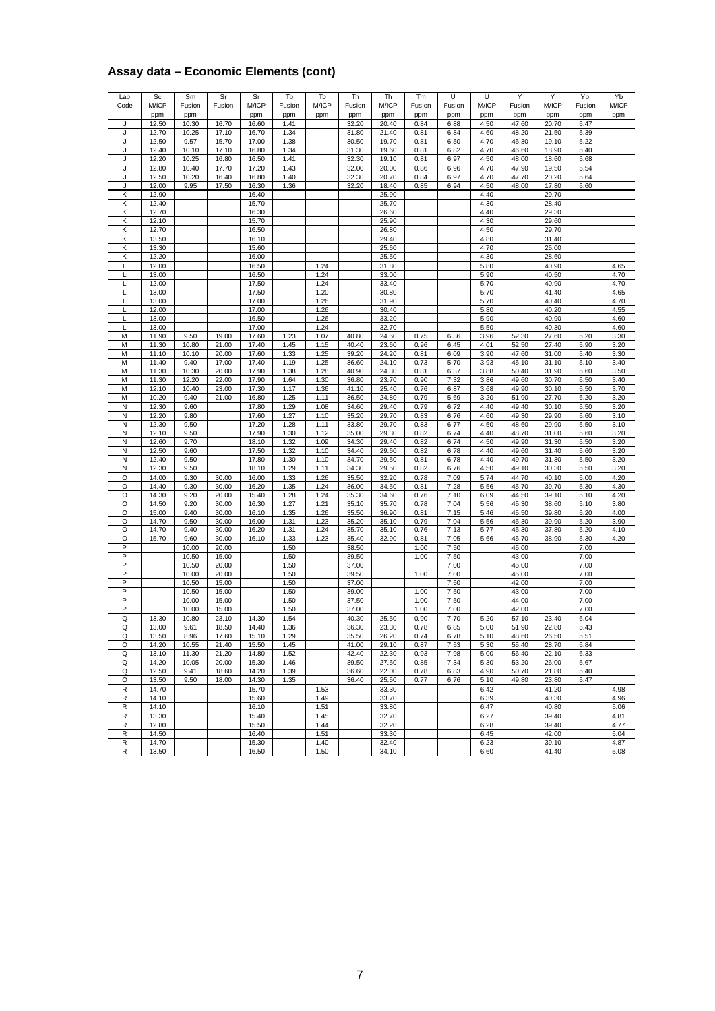#### **Assay data – Economic Elements (cont)**

| Lab    | Sc             | Sm             | Sr             | Sr             | Tb           | Tb           | Th             |                | Tm           | U            | U            | Υ              | Υ              | Yb           | Yb           |
|--------|----------------|----------------|----------------|----------------|--------------|--------------|----------------|----------------|--------------|--------------|--------------|----------------|----------------|--------------|--------------|
| Code   | M/ICP          | Fusion         | Fusion         | M/ICP          | Fusion       | M/ICP        | Fusion         | Th<br>M/ICP    | Fusion       | Fusion       | M/ICP        | Fusion         | M/ICP          | Fusion       | M/ICP        |
|        | ppm            | ppm            |                | ppm            | ppm          | ppm          | ppm            | ppm            | ppm          | ppm          | ppm          | ppm            | ppm            | ppm          | ppm          |
| J<br>J | 12.50<br>12.70 | 10.30<br>10.25 | 16.70<br>17.10 | 16.60<br>16.70 | 1.41<br>1.34 |              | 32.20<br>31.80 | 20.40<br>21.40 | 0.84<br>0.81 | 6.88<br>6.84 | 4.50<br>4.60 | 47.60<br>48.20 | 20.70<br>21.50 | 5.47<br>5.39 |              |
| J      | 12.50          | 9.57           | 15.70          | 17.00          | 1.38         |              | 30.50          | 19.70          | 0.81         | 6.50         | 4.70         | 45.30          | 19.10          | 5.22         |              |
| J<br>J | 12.40          | 10.10<br>10.25 | 17.10          | 16.80          | 1.34<br>1.41 |              | 31.30          | 19.60          | 0.81<br>0.81 | 6.82<br>6.97 | 4.70<br>4.50 | 46.60          | 18.90          | 5.40<br>5.68 |              |
| J      | 12.20<br>12.80 | 10.40          | 16.80<br>17.70 | 16.50<br>17.20 | 1.43         |              | 32.30<br>32.00 | 19.10<br>20.00 | 0.86         | 6.96         | 4.70         | 48.00<br>47.90 | 18.60<br>19.50 | 5.54         |              |
| J      | 12.50          | 10.20          | 16.40          | 16.80          | 1.40         |              | 32.30          | 20.70          | 0.84         | 6.97         | 4.70         | 47.70          | 20.20          | 5.64         |              |
| J<br>Κ | 12.00<br>12.90 | 9.95           | 17.50          | 16.30<br>16.40 | 1.36         |              | 32.20          | 18.40<br>25.90 | 0.85         | 6.94         | 4.50<br>4.40 | 48.00          | 17.80<br>29.70 | 5.60         |              |
| Κ      | 12.40          |                |                | 15.70          |              |              |                | 25.70          |              |              | 4.30         |                | 28.40          |              |              |
| Κ      | 12.70          |                |                | 16.30          |              |              |                | 26.60          |              |              | 4.40         |                | 29.30          |              |              |
| Κ<br>Κ | 12.10<br>12.70 |                |                | 15.70<br>16.50 |              |              |                | 25.90<br>26.80 |              |              | 4.30<br>4.50 |                | 29.60<br>29.70 |              |              |
| Κ      | 13.50          |                |                | 16.10          |              |              |                | 29.40          |              |              | 4.80         |                | 31.40          |              |              |
| Κ      | 13.30          |                |                | 15.60          |              |              |                | 25.60          |              |              | 4.70         |                | 25.00          |              |              |
| Κ<br>Г | 12.20<br>12.00 |                |                | 16.00<br>16.50 |              | 1.24         |                | 25.50<br>31.80 |              |              | 4.30<br>5.80 |                | 28.60<br>40.90 |              | 4.65         |
| L      | 13.00          |                |                | 16.50          |              | 1.24         |                | 33.00          |              |              | 5.90         |                | 40.50          |              | 4.70         |
| L      | 12.00          |                |                | 17.50          |              | 1.24         |                | 33.40          |              |              | 5.70         |                | 40.90          |              | 4.70         |
| L<br>L | 13.00<br>13.00 |                |                | 17.50<br>17.00 |              | 1.20<br>1.26 |                | 30.80<br>31.90 |              |              | 5.70<br>5.70 |                | 41.40<br>40.40 |              | 4.65<br>4.70 |
| L      | 12.00          |                |                | 17.00          |              | 1.26         |                | 30.40          |              |              | 5.80         |                | 40.20          |              | 4.55         |
| L      | 13.00<br>13.00 |                |                | 16.50<br>17.00 |              | 1.26<br>1.24 |                | 33.20<br>32.70 |              |              | 5.90<br>5.50 |                | 40.90<br>40.30 |              | 4.60<br>4.60 |
| M      | 11.90          | 9.50           | 19.00          | 17.60          | 1.23         | 1.07         | 40.80          | 24.50          | 0.75         | 6.36         | 3.96         | 52.30          | 27.60          | 5.20         | 3.30         |
| М      | 11.30          | 10.80          | 21.00          | 17.40          | 1.45         | 1.15         | 40.40          | 23.60          | 0.96         | 6.45         | 4.01         | 52.50          | 27.40          | 5.90         | 3.20         |
| M<br>М | 11.10<br>11.40 | 10.10<br>9.40  | 20.00<br>17.00 | 17.60<br>17.40 | 1.33<br>1.19 | 1.25<br>1.25 | 39.20<br>36.60 | 24.20<br>24.10 | 0.81<br>0.73 | 6.09<br>5.70 | 3.90<br>3.93 | 47.60<br>45.10 | 31.00<br>31.10 | 5.40<br>5.10 | 3.30<br>3.40 |
| M      | 11.30          | 10.30          | 20.00          | 17.90          | 1.38         | 1.28         | 40.90          | 24.30          | 0.81         | 6.37         | 3.88         | 50.40          | 31.90          | 5.60         | 3.50         |
| М      | 11.30          | 12.20          | 22.00          | 17.90          | 1.64         | 1.30         | 36.80          | 23.70          | 0.90         | 7.32         | 3.86         | 49.60          | 30.70          | 6.50         | 3.40         |
| M<br>M | 12.10<br>10.20 | 10.40<br>9.40  | 23.00<br>21.00 | 17.30<br>16.80 | 1.17<br>1.25 | 1.36<br>1.11 | 41.10<br>36.50 | 25.40<br>24.80 | 0.76<br>0.79 | 6.87<br>5.69 | 3.68<br>3.20 | 49.90<br>51.90 | 30.10<br>27.70 | 5.50<br>6.20 | 3.70<br>3.20 |
| N      | 12.30          | 9.60           |                | 17.80          | 1.29         | 1.08         | 34.60          | 29.40          | 0.79         | 6.72         | 4.40         | 49.40          | 30.10          | 5.50         | 3.20         |
| N<br>N | 12.20<br>12.30 | 9.80<br>9.50   |                | 17.60<br>17.20 | 1.27<br>1.28 | 1.10<br>1.11 | 35.20<br>33.80 | 29.70<br>29.70 | 0.83<br>0.83 | 6.76<br>6.77 | 4.60<br>4.50 | 49.30<br>48.60 | 29.90<br>29.90 | 5.60<br>5.50 | 3.10<br>3.10 |
| N      | 12.10          | 9.50           |                | 17.90          | 1.30         | 1.12         | 35.00          | 29.30          | 0.82         | 6.74         | 4.40         | 48.70          | 31.00          | 5.60         | 3.20         |
| N      | 12.60          | 9.70           |                | 18.10          | 1.32         | 1.09         | 34.30          | 29.40          | 0.82         | 6.74         | 4.50         | 49.90          | 31.30          | 5.50         | 3.20         |
| N<br>N | 12.50<br>12.40 | 9.60<br>9.50   |                | 17.50<br>17.80 | 1.32<br>1.30 | 1.10<br>1.10 | 34.40<br>34.70 | 29.60<br>29.50 | 0.82<br>0.81 | 6.78<br>6.78 | 4.40<br>4.40 | 49.60<br>49.70 | 31.40<br>31.30 | 5.60<br>5.50 | 3.20<br>3.20 |
| N      | 12.30          | 9.50           |                | 18.10          | 1.29         | 1.11         | 34.30          | 29.50          | 0.82         | 6.76         | 4.50         | 49.10          | 30.30          | 5.50         | 3.20         |
| O      | 14.00          | 9.30           | 30.00          | 16.00          | 1.33         | 1.26         | 35.50          | 32.20          | 0.78         | 7.09         | 5.74         | 44.70          | 40.10          | 5.00         | 4.20         |
| O<br>O | 14.40<br>14.30 | 9.30<br>9.20   | 30.00<br>20.00 | 16.20<br>15.40 | 1.35<br>1.28 | 1.24<br>1.24 | 36.00<br>35.30 | 34.50<br>34.60 | 0.81<br>0.76 | 7.28<br>7.10 | 5.56<br>6.09 | 45.70<br>44.50 | 39.70<br>39.10 | 5.30<br>5.10 | 4.30<br>4.20 |
| O      | 14.50          | 9.20           | 30.00          | 16.30          | 1.27         | 1.21         | 35.10          | 35.70          | 0.78         | 7.04         | 5.56         | 45.30          | 38.60          | 5.10         | 3.80         |
| O<br>O | 15.00<br>14.70 | 9.40<br>9.50   | 30.00<br>30.00 | 16.10<br>16.00 | 1.35<br>1.31 | 1.26<br>1.23 | 35.50<br>35.20 | 36.90<br>35.10 | 0.81<br>0.79 | 7.15<br>7.04 | 5.46<br>5.56 | 45.50<br>45.30 | 39.80<br>39.90 | 5.20<br>5.20 | 4.00<br>3.90 |
| O      | 14.70          | 9.40           | 30.00          | 16.20          | 1.31         | 1.24         | 35.70          | 35.10          | 0.76         | 7.13         | 5.77         | 45.30          | 37.80          | 5.20         | 4.10         |
| O      | 15.70          | 9.60           | 30.00          | 16.10          | 1.33         | 1.23         | 35.40          | 32.90          | 0.81         | 7.05         | 5.66         | 45.70          | 38.90          | 5.30         | 4.20         |
| P<br>P |                | 10.00<br>10.50 | 20.00<br>15.00 |                | 1.50<br>1.50 |              | 38.50<br>39.50 |                | 1.00<br>1.00 | 7.50<br>7.50 |              | 45.00<br>43.00 |                | 7.00<br>7.00 |              |
| P      |                | 10.50          | 20.00          |                | 1.50         |              | 37.00          |                |              | 7.00         |              | 45.00          |                | 7.00         |              |
| P      |                | 10.00          | 20.00          |                | 1.50         |              | 39.50          |                | 1.00         | 7.00         |              | 45.00          |                | 7.00         |              |
| P      |                | 10.50<br>10.50 | 15.00<br>15.00 |                | 1.50<br>1.50 |              | 37.00<br>39.00 |                | 1.00         | 7.50<br>7.50 |              | 42.00<br>43.00 |                | 7.00<br>7.00 |              |
| P      |                | 10.00          | 15.00          |                | 1.50         |              | 37.50          |                | 1.00         | 7.50         |              | 44.00          |                | 7.00         |              |
| P<br>Q | 13.30          | 10.00<br>10.80 | 15.00<br>23.10 | 14.30          | 1.50<br>1.54 |              | 37.00<br>40.30 | 25.50          | 1.00<br>0.90 | 7.00<br>7.70 | 5.20         | 42.00<br>57.10 | 23.40          | 7.00<br>6.04 |              |
| Q      | 13.00          | 9.61           | 18.50          | 14.40          | 1.36         |              | 36.30          | 23.30          | 0.78         | 6.85         | 5.00         | 51.90          | 22.80          | 5.43         |              |
| Q      | 13.50          | 8.96           | 17.60          | 15.10          | 1.29         |              | 35.50          | 26.20          | 0.74         | 6.78         | 5.10         | 48.60          | 26.50          | 5.51         |              |
| Q<br>Q | 14.20<br>13.10 | 10.55<br>11.30 | 21.40<br>21.20 | 15.50<br>14.80 | 1.45<br>1.52 |              | 41.00<br>42.40 | 29.10<br>22.30 | 0.87<br>0.93 | 7.53<br>7.98 | 5.30<br>5.00 | 55.40<br>56.40 | 28.70<br>22.10 | 5.84<br>6.33 |              |
| Q      | 14.20          | 10.05          | 20.00          | 15.30          | 1.46         |              | 39.50          | 27.50          | 0.85         | 7.34         | 5.30         | 53.20          | 26.00          | 5.67         |              |
| Q      | 12.50          | 9.41           | 18.60          | 14.20          | 1.39         |              | 36.60          | 22.00          | 0.78         | 6.83         | 4.90         | 50.70          | 21.80          | 5.40         |              |
| Q<br>R | 13.50<br>14.70 | 9.50           | 18.00          | 14.30<br>15.70 | 1.35         | 1.53         | 36.40          | 25.50<br>33.30 | 0.77         | 6.76         | 5.10<br>6.42 | 49.80          | 23.80<br>41.20 | 5.47         | 4.98         |
| R      | 14.10          |                |                | 15.60          |              | 1.49         |                | 33.70          |              |              | 6.39         |                | 40.30          |              | 4.96         |
| R      | 14.10          |                |                | 16.10          |              | 1.51         |                | 33.80          |              |              | 6.47         |                | 40.80          |              | 5.06         |
| R<br>R | 13.30<br>12.80 |                |                | 15.40<br>15.50 |              | 1.45<br>1.44 |                | 32.70<br>32.20 |              |              | 6.27<br>6.28 |                | 39.40<br>39.40 |              | 4.81<br>4.77 |
| R      | 14.50          |                |                | 16.40          |              | 1.51         |                | 33.30          |              |              | 6.45         |                | 42.00          |              | 5.04         |
| R      | 14.70          |                |                | 15.30          |              | 1.40         |                | 32.40          |              |              | 6.23         |                | 39.10          |              | 4.87         |
| R      | 13.50          |                |                | 16.50          |              | 1.50         |                | 34.10          |              |              | 6.60         |                | 41.40          |              | 5.08         |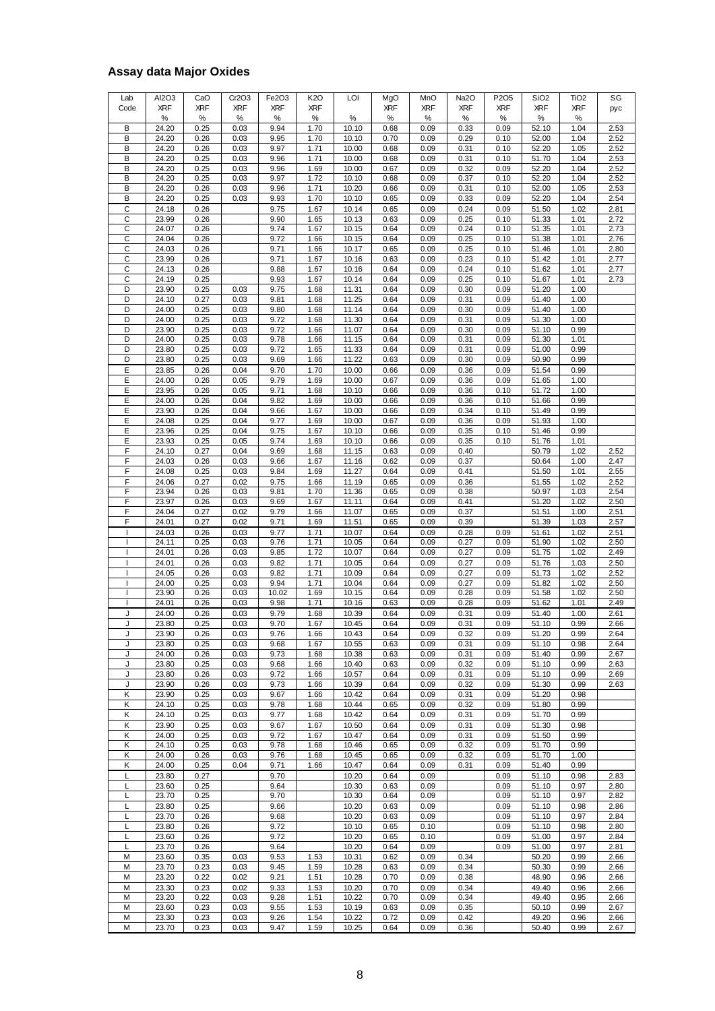### **Assay data Major Oxides**

| Lab<br>Code | AI2O3<br><b>XRF</b><br>℅ | CaO<br><b>XRF</b><br>% | Cr2O3<br><b>XRF</b><br>℅ | Fe2O3<br><b>XRF</b><br>% | <b>K2O</b><br><b>XRF</b><br>℅ | LOI<br>℅       | MgO<br><b>XRF</b><br>% | MnO<br><b>XRF</b><br>% | Na2O<br><b>XRF</b><br>% | P2O5<br><b>XRF</b><br>% | SiO <sub>2</sub><br><b>XRF</b><br>% | TiO <sub>2</sub><br><b>XRF</b><br>% | SG<br>pyc    |
|-------------|--------------------------|------------------------|--------------------------|--------------------------|-------------------------------|----------------|------------------------|------------------------|-------------------------|-------------------------|-------------------------------------|-------------------------------------|--------------|
| B           | 24.20                    | 0.25                   | 0.03                     | 9.94                     | 1.70                          | 10.10          | 0.68                   | 0.09                   | 0.33                    | 0.09                    | 52.10                               | 1.04                                | 2.53         |
| B           | 24.20                    | 0.26                   | 0.03                     | 9.95                     | 1.70                          | 10.10          | 0.70                   | 0.09                   | 0.29                    | 0.10                    | 52.00                               | 1.04                                | 2.52         |
| В           | 24.20                    | 0.26                   | 0.03                     | 9.97                     | 1.71                          | 10.00          | 0.68                   | 0.09                   | 0.31                    | 0.10                    | 52.20                               | 1.05                                | 2.52         |
| В           | 24.20                    | 0.25                   | 0.03                     | 9.96                     | 1.71                          | 10.00          | 0.68                   | 0.09                   | 0.31                    | 0.10                    | 51.70                               | 1.04                                | 2.53         |
| B<br>В      | 24.20<br>24.20           | 0.25<br>0.25           | 0.03<br>0.03             | 9.96<br>9.97             | 1.69<br>1.72                  | 10.00<br>10.10 | 0.67                   | 0.09<br>0.09           | 0.32<br>0.37            | 0.09<br>0.10            | 52.20<br>52.20                      | 1.04<br>1.04                        | 2.52<br>2.52 |
| B           | 24.20                    | 0.26                   | 0.03                     | 9.96                     | 1.71                          | 10.20          | 0.68<br>0.66           | 0.09                   | 0.31                    | 0.10                    | 52.00                               | 1.05                                | 2.53         |
| В           | 24.20                    | 0.25                   | 0.03                     | 9.93                     | 1.70                          | 10.10          | 0.65                   | 0.09                   | 0.33                    | 0.09                    | 52.20                               | 1.04                                | 2.54         |
| C           | 24.18                    | 0.26                   |                          | 9.75                     | 1.67                          | 10.14          | 0.65                   | 0.09                   | 0.24                    | 0.09                    | 51.50                               | 1.02                                | 2.81         |
| С           | 23.99                    | 0.26                   |                          | 9.90                     | 1.65                          | 10.13          | 0.63                   | 0.09                   | 0.25                    | 0.10                    | 51.33                               | 1.01                                | 2.72         |
| C           | 24.07                    | 0.26                   |                          | 9.74                     | 1.67                          | 10.15          | 0.64                   | 0.09                   | 0.24                    | 0.10                    | 51.35                               | 1.01                                | 2.73         |
| C           | 24.04                    | 0.26                   |                          | 9.72                     | 1.66                          | 10.15          | 0.64                   | 0.09                   | 0.25                    | 0.10                    | 51.38                               | 1.01                                | 2.76         |
| C           | 24.03                    | 0.26                   |                          | 9.71                     | 1.66                          | 10.17          | 0.65                   | 0.09                   | 0.25                    | 0.10                    | 51.46                               | 1.01                                | 2.80         |
| C           | 23.99                    | 0.26                   |                          | 9.71                     | 1.67                          | 10.16          | 0.63                   | 0.09                   | 0.23                    | 0.10                    | 51.42                               | 1.01                                | 2.77         |
| C<br>C      | 24.13<br>24.19           | 0.26<br>0.25           |                          | 9.88<br>9.93             | 1.67<br>1.67                  | 10.16<br>10.14 | 0.64<br>0.64           | 0.09<br>0.09           | 0.24<br>0.25            | 0.10<br>0.10            | 51.62<br>51.67                      | 1.01<br>1.01                        | 2.77<br>2.73 |
| D           | 23.90                    | 0.25                   | 0.03                     | 9.75                     | 1.68                          | 11.31          | 0.64                   | 0.09                   | 0.30                    | 0.09                    | 51.20                               | 1.00                                |              |
| D           | 24.10                    | 0.27                   | 0.03                     | 9.81                     | 1.68                          | 11.25          | 0.64                   | 0.09                   | 0.31                    | 0.09                    | 51.40                               | 1.00                                |              |
| D           | 24.00                    | 0.25                   | 0.03                     | 9.80                     | 1.68                          | 11.14          | 0.64                   | 0.09                   | 0.30                    | 0.09                    | 51.40                               | 1.00                                |              |
| D           | 24.00                    | 0.25                   | 0.03                     | 9.72                     | 1.68                          | 11.30          | 0.64                   | 0.09                   | 0.31                    | 0.09                    | 51.30                               | 1.00                                |              |
| D           | 23.90                    | 0.25                   | 0.03                     | 9.72                     | 1.66                          | 11.07          | 0.64                   | 0.09                   | 0.30                    | 0.09                    | 51.10                               | 0.99                                |              |
| D           | 24.00                    | 0.25                   | 0.03                     | 9.78                     | 1.66                          | 11.15          | 0.64                   | 0.09                   | 0.31                    | 0.09                    | 51.30                               | 1.01                                |              |
| D           | 23.80                    | 0.25                   | 0.03                     | 9.72                     | 1.65                          | 11.33          | 0.64                   | 0.09                   | 0.31                    | 0.09                    | 51.00                               | 0.99                                |              |
| D<br>E      | 23.80<br>23.85           | 0.25<br>0.26           | 0.03<br>0.04             | 9.69<br>9.70             | 1.66<br>1.70                  | 11.22<br>10.00 | 0.63<br>0.66           | 0.09<br>0.09           | 0.30<br>0.36            | 0.09<br>0.09            | 50.90<br>51.54                      | 0.99<br>0.99                        |              |
| Е           | 24.00                    | 0.26                   | 0.05                     | 9.79                     | 1.69                          | 10.00          | 0.67                   | 0.09                   | 0.36                    | 0.09                    | 51.65                               | 1.00                                |              |
| Ε           | 23.95                    | 0.26                   | 0.05                     | 9.71                     | 1.68                          | 10.10          | 0.66                   | 0.09                   | 0.36                    | 0.10                    | 51.72                               | 1.00                                |              |
| Ε           | 24.00                    | 0.26                   | 0.04                     | 9.82                     | 1.69                          | 10.00          | 0.66                   | 0.09                   | 0.36                    | 0.10                    | 51.66                               | 0.99                                |              |
| E           | 23.90                    | 0.26                   | 0.04                     | 9.66                     | 1.67                          | 10.00          | 0.66                   | 0.09                   | 0.34                    | 0.10                    | 51.49                               | 0.99                                |              |
| Ε           | 24.08                    | 0.25                   | 0.04                     | 9.77                     | 1.69                          | 10.00          | 0.67                   | 0.09                   | 0.36                    | 0.09                    | 51.93                               | 1.00                                |              |
| Е           | 23.96                    | 0.25                   | 0.04                     | 9.75                     | 1.67                          | 10.10          | 0.66                   | 0.09                   | 0.35                    | 0.10                    | 51.46                               | 0.99                                |              |
| E           | 23.93                    | 0.25                   | 0.05                     | 9.74                     | 1.69                          | 10.10          | 0.66                   | 0.09                   | 0.35                    | 0.10                    | 51.76                               | 1.01                                |              |
| F<br>F      | 24.10<br>24.03           | 0.27<br>0.26           | 0.04<br>0.03             | 9.69<br>9.66             | 1.68<br>1.67                  | 11.15<br>11.16 | 0.63<br>0.62           | 0.09<br>0.09           | 0.40<br>0.37            |                         | 50.79<br>50.64                      | 1.02<br>1.00                        | 2.52<br>2.47 |
| F           | 24.08                    | 0.25                   | 0.03                     | 9.84                     | 1.69                          | 11.27          | 0.64                   | 0.09                   | 0.41                    |                         | 51.50                               | 1.01                                | 2.55         |
| F           | 24.06                    | 0.27                   | 0.02                     | 9.75                     | 1.66                          | 11.19          | 0.65                   | 0.09                   | 0.36                    |                         | 51.55                               | 1.02                                | 2.52         |
| F           | 23.94                    | 0.26                   | 0.03                     | 9.81                     | 1.70                          | 11.36          | 0.65                   | 0.09                   | 0.38                    |                         | 50.97                               | 1.03                                | 2.54         |
| F           | 23.97                    | 0.26                   | 0.03                     | 9.69                     | 1.67                          | 11.11          | 0.64                   | 0.09                   | 0.41                    |                         | 51.20                               | 1.02                                | 2.50         |
| F           | 24.04                    | 0.27                   | 0.02                     | 9.79                     | 1.66                          | 11.07          | 0.65                   | 0.09                   | 0.37                    |                         | 51.51                               | 1.00                                | 2.51         |
| F           | 24.01                    | 0.27                   | 0.02                     | 9.71                     | 1.69                          | 11.51          | 0.65                   | 0.09                   | 0.39                    |                         | 51.39                               | 1.03                                | 2.57         |
|             | 24.03                    | 0.26                   | 0.03                     | 9.77                     | 1.71                          | 10.07          | 0.64                   | 0.09                   | 0.28                    | 0.09                    | 51.61                               | 1.02                                | 2.51         |
|             | 24.11<br>24.01           | 0.25                   | 0.03                     | 9.76                     | 1.71                          | 10.05          | 0.64                   | 0.09                   | 0.27                    | 0.09                    | 51.90                               | 1.02<br>1.02                        | 2.50<br>2.49 |
|             | 24.01                    | 0.26<br>0.26           | 0.03<br>0.03             | 9.85<br>9.82             | 1.72<br>1.71                  | 10.07<br>10.05 | 0.64<br>0.64           | 0.09<br>0.09           | 0.27<br>0.27            | 0.09<br>0.09            | 51.75<br>51.76                      | 1.03                                | 2.50         |
|             | 24.05                    | 0.26                   | 0.03                     | 9.82                     | 1.71                          | 10.09          | 0.64                   | 0.09                   | 0.27                    | 0.09                    | 51.73                               | 1.02                                | 2.52         |
|             | 24.00                    | 0.25                   | 0.03                     | 9.94                     | 1.71                          | 10.04          | 0.64                   | 0.09                   | 0.27                    | 0.09                    | 51.82                               | 1.02                                | 2.50         |
|             | 23.90                    | 0.26                   | 0.03                     | 10.02                    | 1.69                          | 10.15          | 0.64                   | 0.09                   | 0.28                    | 0.09                    | 51.58                               | 1.02                                | 2.50         |
|             | 24.01                    | 0.26                   | 0.03                     | 9.98                     | 1.71                          | 10.16          | 0.63                   | 0.09                   | 0.28                    | 0.09                    | 51.62                               | 1.01                                | 2.49         |
| J           | 24.00                    | 0.26                   | 0.03                     | 9.79                     | 1.68                          | 10.39          | 0.64                   | 0.09                   | 0.31                    | 0.09                    | 51.40                               | 1.00                                | 2.61         |
| J           | 23.80                    | 0.25                   | 0.03                     | 9.70                     | 1.67                          | 10.45          | 0.64                   | 0.09                   | 0.31                    | 0.09                    | 51.10                               | 0.99                                | 2.66         |
| J           | 23.90                    | 0.26                   | 0.03                     | 9.76                     | 1.66                          | 10.43          | 0.64                   | 0.09                   | 0.32                    | 0.09                    | 51.20                               | 0.99                                | 2.64         |
| J<br>J      | 23.80<br>24.00           | 0.25<br>0.26           | 0.03<br>0.03             | 9.68<br>9.73             | 1.67<br>1.68                  | 10.55<br>10.38 | 0.63<br>0.63           | 0.09<br>0.09           | 0.31<br>0.31            | 0.09<br>0.09            | 51.10<br>51.40                      | 0.98<br>0.99                        | 2.64<br>2.67 |
| J           | 23.80                    | 0.25                   | 0.03                     | 9.68                     | 1.66                          | 10.40          | 0.63                   | 0.09                   | 0.32                    | 0.09                    | 51.10                               | 0.99                                | 2.63         |
| J           | 23.80                    | 0.26                   | 0.03                     | 9.72                     | 1.66                          | 10.57          | 0.64                   | 0.09                   | 0.31                    | 0.09                    | 51.10                               | 0.99                                | 2.69         |
| J           | 23.90                    | 0.26                   | 0.03                     | 9.73                     | 1.66                          | 10.39          | 0.64                   | 0.09                   | 0.32                    | 0.09                    | 51.30                               | 0.99                                | 2.63         |
| Κ           | 23.90                    | 0.25                   | 0.03                     | 9.67                     | 1.66                          | 10.42          | 0.64                   | 0.09                   | 0.31                    | 0.09                    | 51.20                               | 0.98                                |              |
| Κ           | 24.10                    | 0.25                   | 0.03                     | 9.78                     | 1.68                          | 10.44          | 0.65                   | 0.09                   | 0.32                    | 0.09                    | 51.80                               | 0.99                                |              |
| Κ           | 24.10                    | 0.25                   | 0.03                     | 9.77                     | 1.68                          | 10.42          | 0.64                   | 0.09                   | 0.31                    | 0.09                    | 51.70                               | 0.99                                |              |
| Κ           | 23.90                    | 0.25                   | 0.03                     | 9.67                     | 1.67                          | 10.50          | 0.64                   | 0.09                   | 0.31                    | 0.09                    | 51.30                               | 0.98                                |              |
| κ<br>Κ      | 24.00<br>24.10           | 0.25<br>0.25           | 0.03<br>0.03             | 9.72<br>9.78             | 1.67<br>1.68                  | 10.47<br>10.46 | 0.64<br>0.65           | 0.09<br>0.09           | 0.31<br>0.32            | 0.09<br>0.09            | 51.50<br>51.70                      | 0.99<br>0.99                        |              |
| Κ           | 24.00                    | 0.26                   | 0.03                     | 9.76                     | 1.68                          | 10.45          | 0.65                   | 0.09                   | 0.32                    | 0.09                    | 51.70                               | 1.00                                |              |
| Κ           | 24.00                    | 0.25                   | 0.04                     | 9.71                     | 1.66                          | 10.47          | 0.64                   | 0.09                   | 0.31                    | 0.09                    | 51.40                               | 0.99                                |              |
| Г           | 23.80                    | 0.27                   |                          | 9.70                     |                               | 10.20          | 0.64                   | 0.09                   |                         | 0.09                    | 51.10                               | 0.98                                | 2.83         |
| L           | 23.60                    | 0.25                   |                          | 9.64                     |                               | 10.30          | 0.63                   | 0.09                   |                         | 0.09                    | 51.10                               | 0.97                                | 2.80         |
| L           | 23.70                    | 0.25                   |                          | 9.70                     |                               | 10.30          | 0.64                   | 0.09                   |                         | 0.09                    | 51.10                               | 0.97                                | 2.82         |
| L           | 23.80                    | 0.25                   |                          | 9.66                     |                               | 10.20          | 0.63                   | 0.09                   |                         | 0.09                    | 51.10                               | 0.98                                | 2.86         |
| L           | 23.70                    | 0.26                   |                          | 9.68                     |                               | 10.20          | 0.63                   | 0.09                   |                         | 0.09                    | 51.10                               | 0.97                                | 2.84         |
| L<br>L      | 23.80                    | 0.26                   |                          | 9.72                     |                               | 10.10<br>10.20 | 0.65                   | 0.10                   |                         | 0.09                    | 51.10<br>51.00                      | 0.98                                | 2.80         |
| L           | 23.60<br>23.70           | 0.26<br>0.26           |                          | 9.72<br>9.64             |                               | 10.20          | 0.65<br>0.64           | 0.10<br>0.09           |                         | 0.09<br>0.09            | 51.00                               | 0.97<br>0.97                        | 2.84<br>2.81 |
| M           | 23.60                    | 0.35                   | 0.03                     | 9.53                     | 1.53                          | 10.31          | 0.62                   | 0.09                   | 0.34                    |                         | 50.20                               | 0.99                                | 2.66         |
| M           | 23.70                    | 0.23                   | 0.03                     | 9.45                     | 1.59                          | 10.28          | 0.63                   | 0.09                   | 0.34                    |                         | 50.30                               | 0.99                                | 2.66         |
| M           | 23.20                    | 0.22                   | 0.02                     | 9.21                     | 1.51                          | 10.28          | 0.70                   | 0.09                   | 0.38                    |                         | 48.90                               | 0.96                                | 2.66         |
| M           | 23.30                    | 0.23                   | 0.02                     | 9.33                     | 1.53                          | 10.20          | 0.70                   | 0.09                   | 0.34                    |                         | 49.40                               | 0.96                                | 2.66         |
| M           | 23.20                    | 0.22                   | 0.03                     | 9.28                     | 1.51                          | 10.22          | 0.70                   | 0.09                   | 0.34                    |                         | 49.40                               | 0.95                                | 2.66         |
| М           | 23.60                    | 0.23                   | 0.03                     | 9.55                     | 1.53                          | 10.19          | 0.63                   | 0.09                   | 0.35                    |                         | 50.10                               | 0.99                                | 2.67         |
| M           | 23.30                    | 0.23                   | 0.03                     | 9.26                     | 1.54                          | 10.22          | 0.72                   | 0.09                   | 0.42                    |                         | 49.20                               | 0.96                                | 2.66         |
| М           | 23.70                    | 0.23                   | 0.03                     | 9.47                     | 1.59                          | 10.25          | 0.64                   | 0.09                   | 0.36                    |                         | 50.40                               | 0.99                                | 2.67         |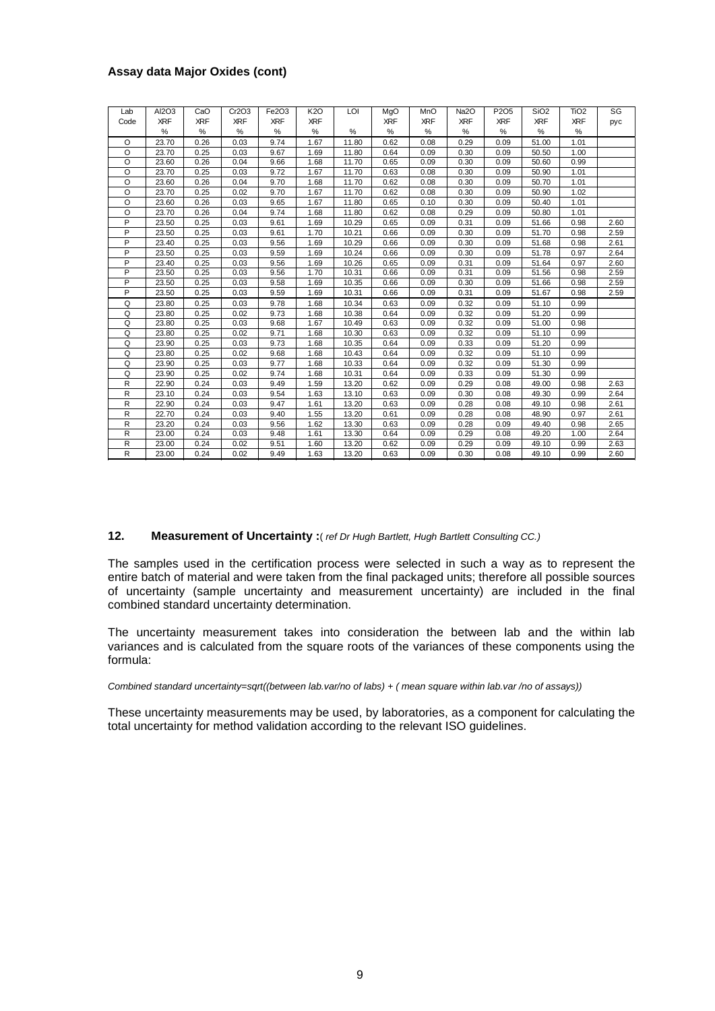#### **Assay data Major Oxides (cont)**

| Assay data Major Oxides (cont) |            |            |            |            |            |       |            |            |                   |                  |                  |                  |      |
|--------------------------------|------------|------------|------------|------------|------------|-------|------------|------------|-------------------|------------------|------------------|------------------|------|
|                                |            |            |            |            |            |       |            |            |                   |                  |                  |                  |      |
|                                |            |            |            |            |            |       |            |            |                   |                  |                  |                  |      |
| Lab                            | AI2O3      | CaO        | Cr2O3      | Fe2O3      | <b>K2O</b> | LOI   | MgO        | MnO        | Na <sub>2</sub> O | P2O <sub>5</sub> | SiO <sub>2</sub> | TiO <sub>2</sub> | SG   |
| Code                           | <b>XRF</b> | <b>XRF</b> | <b>XRF</b> | <b>XRF</b> | <b>XRF</b> |       | <b>XRF</b> | <b>XRF</b> | <b>XRF</b>        | <b>XRF</b>       | <b>XRF</b>       | <b>XRF</b>       | pyc  |
|                                | %          | $\%$       | $\%$       | $\%$       | %          | %     | %          | %          | %                 | %                | %                | $\%$             |      |
| $\circ$                        | 23.70      | 0.26       | 0.03       | 9.74       | 1.67       | 11.80 | 0.62       | 0.08       | 0.29              | 0.09             | 51.00            | 1.01             |      |
| $\circ$                        | 23.70      | 0.25       | 0.03       | 9.67       | 1.69       | 11.80 | 0.64       | 0.09       | 0.30              | 0.09             | 50.50            | 1.00             |      |
| O                              | 23.60      | 0.26       | 0.04       | 9.66       | 1.68       | 11.70 | 0.65       | 0.09       | 0.30              | 0.09             | 50.60            | 0.99             |      |
| O                              | 23.70      | 0.25       | 0.03       | 9.72       | 1.67       | 11.70 | 0.63       | 0.08       | 0.30              | 0.09             | 50.90            | 1.01             |      |
| O                              | 23.60      | 0.26       | 0.04       | 9.70       | 1.68       | 11.70 | 0.62       | 0.08       | 0.30              | 0.09             | 50.70            | 1.01             |      |
| O                              | 23.70      | 0.25       | 0.02       | 9.70       | 1.67       | 11.70 | 0.62       | 0.08       | 0.30              | 0.09             | 50.90            | 1.02             |      |
| $\circ$                        | 23.60      | 0.26       | 0.03       | 9.65       | 1.67       | 11.80 | 0.65       | 0.10       | 0.30              | 0.09             | 50.40            | 1.01             |      |
| $\circ$                        | 23.70      | 0.26       | 0.04       | 9.74       | 1.68       | 11.80 | 0.62       | 0.08       | 0.29              | 0.09             | 50.80            | 1.01             |      |
| P                              | 23.50      | 0.25       | 0.03       | 9.61       | 1.69       | 10.29 | 0.65       | 0.09       | 0.31              | 0.09             | 51.66            | 0.98             | 2.60 |
| P                              | 23.50      | 0.25       | 0.03       | 9.61       | 1.70       | 10.21 | 0.66       | 0.09       | 0.30              | 0.09             | 51.70            | 0.98             | 2.59 |
| P                              | 23.40      | 0.25       | 0.03       | 9.56       | 1.69       | 10.29 | 0.66       | 0.09       | 0.30              | 0.09             | 51.68            | 0.98             | 2.61 |
| P                              | 23.50      | 0.25       | 0.03       | 9.59       | 1.69       | 10.24 | 0.66       | 0.09       | 0.30              | 0.09             | 51.78            | 0.97             | 2.64 |
| P                              | 23.40      | 0.25       | 0.03       | 9.56       | 1.69       | 10.26 | 0.65       | 0.09       | 0.31              | 0.09             | 51.64            | 0.97             | 2.60 |
| P                              | 23.50      | 0.25       | 0.03       | 9.56       | 1.70       | 10.31 | 0.66       | 0.09       | 0.31              | 0.09             | 51.56            | 0.98             | 2.59 |
| P                              | 23.50      | 0.25       | 0.03       | 9.58       | 1.69       | 10.35 | 0.66       | 0.09       | 0.30              | 0.09             | 51.66            | 0.98             | 2.59 |
| P                              | 23.50      | 0.25       | 0.03       | 9.59       | 1.69       | 10.31 | 0.66       | 0.09       | 0.31              | 0.09             | 51.67            | 0.98             | 2.59 |
| Q                              | 23.80      | 0.25       | 0.03       | 9.78       | 1.68       | 10.34 | 0.63       | 0.09       | 0.32              | 0.09             | 51.10            | 0.99             |      |
| Q                              | 23.80      | 0.25       | 0.02       | 9.73       | 1.68       | 10.38 | 0.64       | 0.09       | 0.32              | 0.09             | 51.20            | 0.99             |      |
| Q                              | 23.80      | 0.25       | 0.03       | 9.68       | 1.67       | 10.49 | 0.63       | 0.09       | 0.32              | 0.09             | 51.00            | 0.98             |      |
| Q                              | 23.80      | 0.25       | 0.02       | 9.71       | 1.68       | 10.30 | 0.63       | 0.09       | 0.32              | 0.09             | 51.10            | 0.99             |      |
| Q                              | 23.90      | 0.25       | 0.03       | 9.73       | 1.68       | 10.35 | 0.64       | 0.09       | 0.33              | 0.09             | 51.20            | 0.99             |      |
| Q                              | 23.80      | 0.25       | 0.02       | 9.68       | 1.68       | 10.43 | 0.64       | 0.09       | 0.32              | 0.09             | 51.10            | 0.99             |      |
| Q                              | 23.90      | 0.25       | 0.03       | 9.77       | 1.68       | 10.33 | 0.64       | 0.09       | 0.32              | 0.09             | 51.30            | 0.99             |      |
| Q                              | 23.90      | 0.25       | 0.02       | 9.74       | 1.68       | 10.31 | 0.64       | 0.09       | 0.33              | 0.09             | 51.30            | 0.99             |      |
| R                              | 22.90      | 0.24       | 0.03       | 9.49       | 1.59       | 13.20 | 0.62       | 0.09       | 0.29              | 0.08             | 49.00            | 0.98             | 2.63 |
| R                              | 23.10      | 0.24       | 0.03       | 9.54       | 1.63       | 13.10 | 0.63       | 0.09       | 0.30              | 0.08             | 49.30            | 0.99             | 2.64 |
| R                              | 22.90      | 0.24       | 0.03       | 9.47       | 1.61       | 13.20 | 0.63       | 0.09       | 0.28              | 0.08             | 49.10            | 0.98             | 2.61 |
| R                              | 22.70      | 0.24       | 0.03       | 9.40       | 1.55       | 13.20 | 0.61       | 0.09       | 0.28              | 0.08             | 48.90            | 0.97             | 2.61 |
| R                              | 23.20      | 0.24       | 0.03       | 9.56       | 1.62       | 13.30 | 0.63       | 0.09       | 0.28              | 0.09             | 49.40            | 0.98             | 2.65 |
| R                              | 23.00      | 0.24       | 0.03       | 9.48       | 1.61       | 13.30 | 0.64       | 0.09       | 0.29              | 0.08             | 49.20            | 1.00             | 2.64 |
| R                              | 23.00      | 0.24       | 0.02       | 9.51       | 1.60       | 13.20 | 0.62       | 0.09       | 0.29              | 0.09             | 49.10            | 0.99             | 2.63 |
| R                              | 23.00      | 0.24       | 0.02       | 9.49       | 1.63       | 13.20 | 0.63       | 0.09       | 0.30              | 0.08             | 49.10            | 0.99             | 2.60 |

#### **12. Measurement of Uncertainty :**( *ref Dr Hugh Bartlett, Hugh Bartlett Consulting CC.)*

The samples used in the certification process were selected in such a way as to represent the entire batch of material and were taken from the final packaged units; therefore all possible sources of uncertainty (sample uncertainty and measurement uncertainty) are included in the final combined standard uncertainty determination.

The uncertainty measurement takes into consideration the between lab and the within lab variances and is calculated from the square roots of the variances of these components using the formula:

#### *Combined standard uncertainty=sqrt((between lab.var/no of labs) + ( mean square within lab.var /no of assays))*

These uncertainty measurements may be used, by laboratories, as a component for calculating the total uncertainty for method validation according to the relevant ISO guidelines.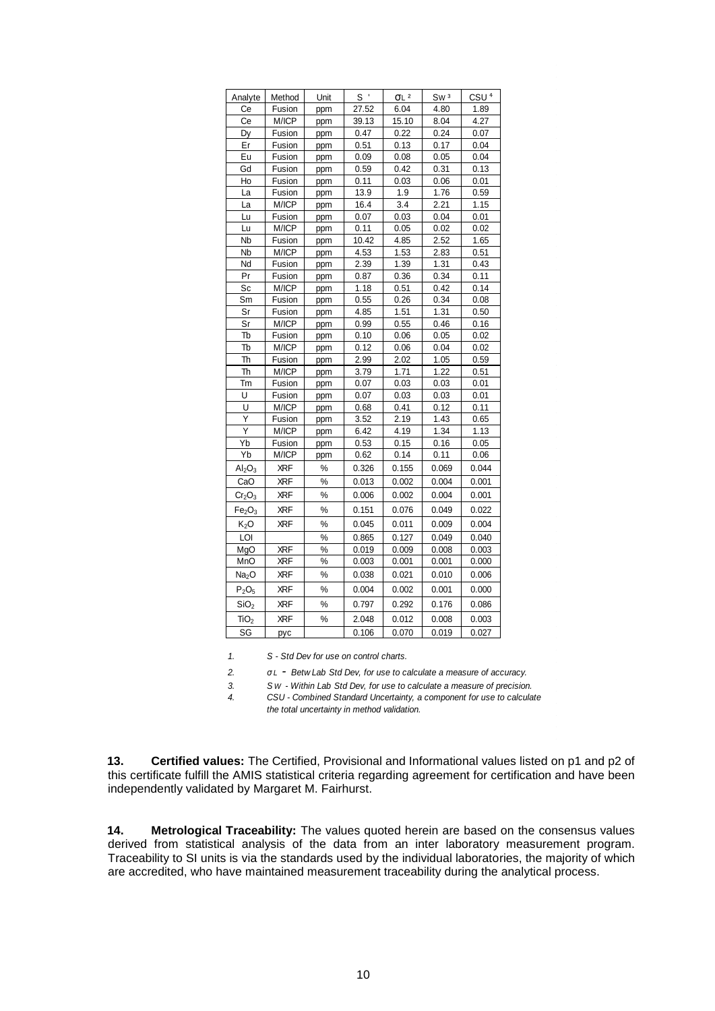| Analyte                        | Method     | Unit | $S^+$ | $\sigma$ L $^2$ | Sw <sub>3</sub> | CSU <sup>4</sup> |
|--------------------------------|------------|------|-------|-----------------|-----------------|------------------|
| Сe                             | Fusion     | ppm  | 27.52 | 6.04            | 4.80            | 1.89             |
| Сe                             | M/ICP      | ppm  | 39.13 | 15.10           | 8.04            | 4.27             |
| Dy                             | Fusion     | ppm  | 0.47  | 0.22            | 0.24            | 0.07             |
| Er                             | Fusion     | ppm  | 0.51  | 0.13            | 0.17            | 0.04             |
| Eu                             | Fusion     | ppm  | 0.09  | 0.08            | 0.05            | 0.04             |
| Gd                             | Fusion     | ppm  | 0.59  | 0.42            | 0.31            | 0.13             |
| Ho                             | Fusion     | ppm  | 0.11  | 0.03            | 0.06            | 0.01             |
| La                             | Fusion     | ppm  | 13.9  | 1.9             | 1.76            | 0.59             |
| La                             | M/ICP      | ppm  | 16.4  | 3.4             | 2.21            | 1.15             |
| Lu                             | Fusion     | ppm  | 0.07  | 0.03            | 0.04            | 0.01             |
| Lu                             | M/ICP      | ppm  | 0.11  | 0.05            | 0.02            | 0.02             |
| Nb                             | Fusion     | ppm  | 10.42 | 4.85            | 2.52            | 1.65             |
| Nb                             | M/ICP      | ppm  | 4.53  | 1.53            | 2.83            | 0.51             |
| Nd                             | Fusion     | ppm  | 2.39  | 1.39            | 1.31            | 0.43             |
| Pr                             | Fusion     | ppm  | 0.87  | 0.36            | 0.34            | 0.11             |
| Sc                             | M/ICP      | ppm  | 1.18  | 0.51            | 0.42            | 0.14             |
| Sm                             | Fusion     | ppm  | 0.55  | 0.26            | 0.34            | 0.08             |
| Sr                             | Fusion     | ppm  | 4.85  | 1.51            | 1.31            | 0.50             |
| Sr                             | M/ICP      | ppm  | 0.99  | 0.55            | 0.46            | 0.16             |
| Tb                             | Fusion     | ppm  | 0.10  | 0.06            | 0.05            | 0.02             |
| Tb                             | M/ICP      | ppm  | 0.12  | 0.06            | 0.04            | 0.02             |
| Th                             | Fusion     | ppm  | 2.99  | 2.02            | 1.05            | 0.59             |
| Th                             | M/ICP      | ppm  | 3.79  | 1.71            | 1.22            | 0.51             |
| Tm                             | Fusion     | ppm  | 0.07  | 0.03            | 0.03            | 0.01             |
| U                              | Fusion     | ppm  | 0.07  | 0.03            | 0.03            | 0.01             |
| U                              | M/ICP      | ppm  | 0.68  | 0.41            | 0.12            | 0.11             |
| Υ                              | Fusion     | ppm  | 3.52  | 2.19            | 1.43            | 0.65             |
| Υ                              | M/ICP      | ppm  | 6.42  | 4.19            | 1.34            | 1.13             |
| Yb                             | Fusion     | ppm  | 0.53  | 0.15            | 0.16            | 0.05             |
| Yb                             | M/ICP      | ppm  | 0.62  | 0.14            | 0.11            | 0.06             |
| Al <sub>2</sub> O <sub>3</sub> | <b>XRF</b> | %    | 0.326 | 0.155           | 0.069           | 0.044            |
| CaO                            | <b>XRF</b> | $\%$ | 0.013 | 0.002           | 0.004           | 0.001            |
| $Cr_2O_3$                      | <b>XRF</b> | %    | 0.006 | 0.002           | 0.004           | 0.001            |
| Fe <sub>2</sub> O <sub>3</sub> | XRF        | %    | 0.151 | 0.076           | 0.049           | 0.022            |
| $K_2O$                         | <b>XRF</b> | $\%$ | 0.045 | 0.011           | 0.009           | 0.004            |
| LOI                            |            | %    | 0.865 | 0.127           | 0.049           | 0.040            |
| MqO                            | XRF        | %    | 0.019 | 0.009           | 0.008           | 0.003            |
| MnO                            | ХRF        | %    | 0.003 | 0.001           | 0.001           | 0.000            |
| Na <sub>2</sub> O              | <b>XRF</b> | %    | 0.038 | 0.021           | 0.010           | 0.006            |
| $P_2O_5$                       | XRF        | %    | 0.004 | 0.002           | 0.001           | 0.000            |
| SiO <sub>2</sub>               | XRF        | %    | 0.797 | 0.292           | 0.176           | 0.086            |
| TiO <sub>2</sub>               | <b>XRF</b> | %    | 2.048 | 0.012           | 0.008           | 0.003            |
| $\overline{\mathsf{SG}}$       | pyc        |      | 0.106 | 0.070           | 0.019           | 0.027            |

*1. S - Std Dev for use on control charts.*

*2. <sup>σ</sup> <sup>L</sup> - Betw Lab Std Dev, for use to calculate a measure of accuracy.*

*3. S W - Within Lab Std Dev, for use to calculate a measure of precision.*

*4. CSU - Combined Standard Uncertainty, a component for use to calculate the total uncertainty in method validation.*

**13. Certified values:** The Certified, Provisional and Informational values listed on p1 and p2 of this certificate fulfill the AMIS statistical criteria regarding agreement for certification and have been independently validated by Margaret M. Fairhurst.

**14. Metrological Traceability:** The values quoted herein are based on the consensus values derived from statistical analysis of the data from an inter laboratory measurement program. Traceability to SI units is via the standards used by the individual laboratories, the majority of which are accredited, who have maintained measurement traceability during the analytical process.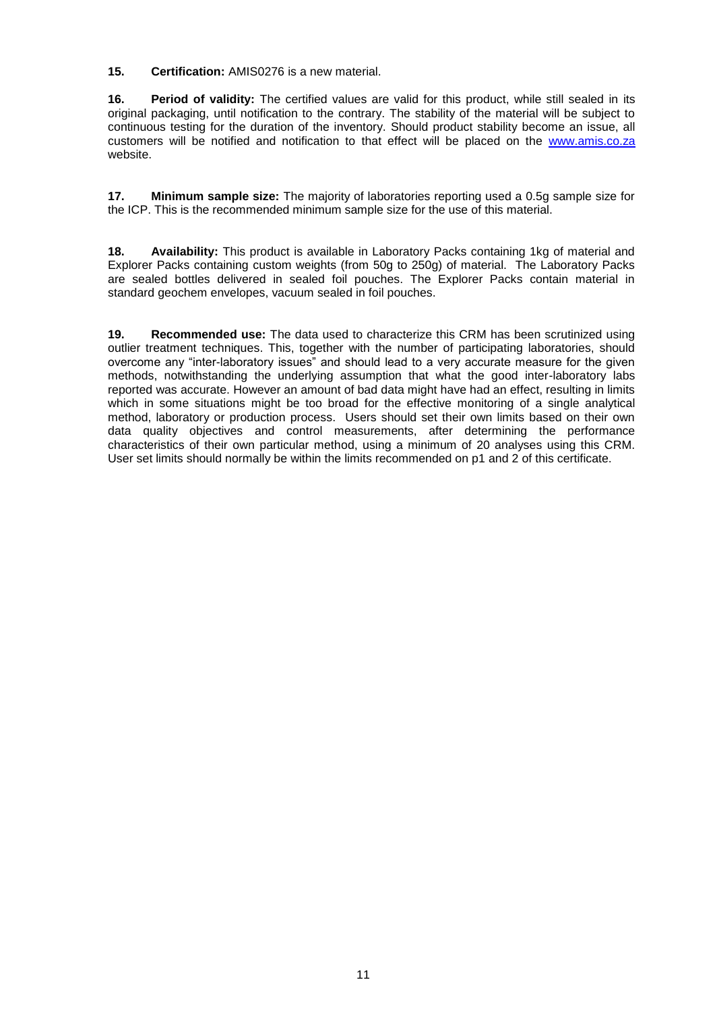**15. Certification:** AMIS0276 is a new material.

**16. Period of validity:** The certified values are valid for this product, while still sealed in its original packaging, until notification to the contrary. The stability of the material will be subject to continuous testing for the duration of the inventory. Should product stability become an issue, all customers will be notified and notification to that effect will be placed on the [www.amis.co.za](http://www.amis.co.za/) website.

**17. Minimum sample size:** The majority of laboratories reporting used a 0.5g sample size for the ICP. This is the recommended minimum sample size for the use of this material.

**18. Availability:** This product is available in Laboratory Packs containing 1kg of material and Explorer Packs containing custom weights (from 50g to 250g) of material. The Laboratory Packs are sealed bottles delivered in sealed foil pouches. The Explorer Packs contain material in standard geochem envelopes, vacuum sealed in foil pouches.

**19. Recommended use:** The data used to characterize this CRM has been scrutinized using outlier treatment techniques. This, together with the number of participating laboratories, should overcome any "inter-laboratory issues" and should lead to a very accurate measure for the given methods, notwithstanding the underlying assumption that what the good inter-laboratory labs reported was accurate. However an amount of bad data might have had an effect, resulting in limits which in some situations might be too broad for the effective monitoring of a single analytical method, laboratory or production process. Users should set their own limits based on their own data quality objectives and control measurements, after determining the performance characteristics of their own particular method, using a minimum of 20 analyses using this CRM. User set limits should normally be within the limits recommended on p1 and 2 of this certificate.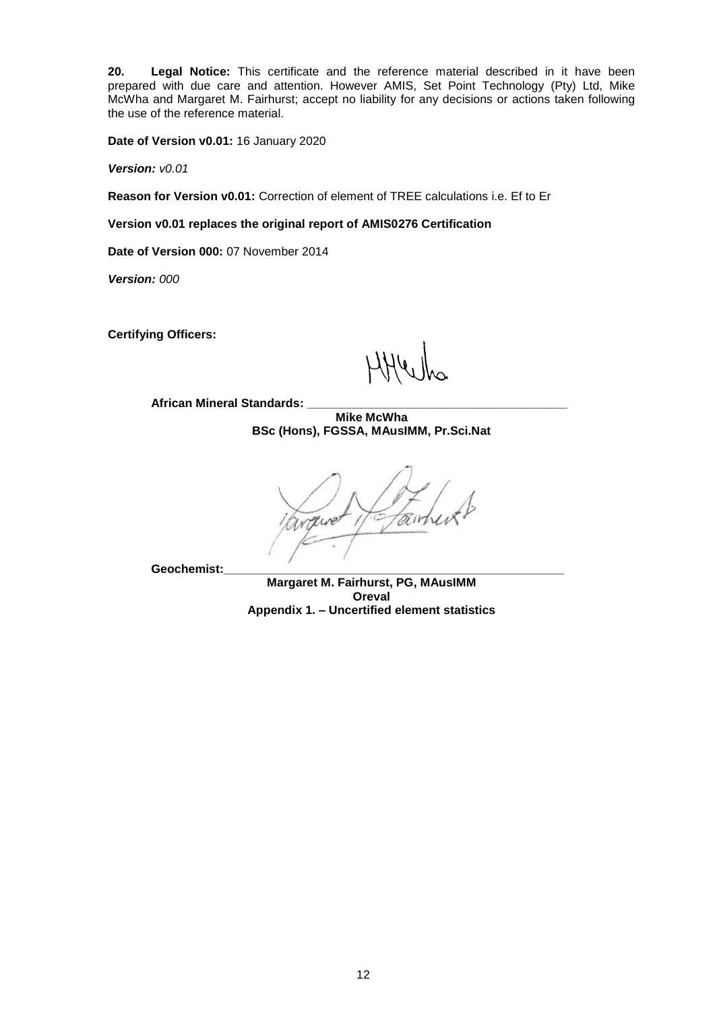**20. Legal Notice:** This certificate and the reference material described in it have been prepared with due care and attention. However AMIS, Set Point Technology (Pty) Ltd, Mike McWha and Margaret M. Fairhurst; accept no liability for any decisions or actions taken following the use of the reference material.

**Date of Version v0.01:** 16 January 2020

*Version: v0.01*

**Reason for Version v0.01:** Correction of element of TREE calculations i.e. Ef to Er

**Version v0.01 replaces the original report of AMIS0276 Certification** 

**Date of Version 000:** 07 November 2014

*Version: 000*

**Certifying Officers:** 

**African Mineral Standards: \_\_\_\_\_\_\_\_\_\_\_\_\_\_\_\_\_\_\_\_\_\_\_\_\_\_\_\_\_\_\_\_\_\_\_\_\_\_\_**

**Mike McWha BSc (Hons), FGSSA, MAusIMM, Pr.Sci.Nat**

tair nive

**Geochemist:\_\_\_\_\_\_\_\_\_\_\_\_\_\_\_\_\_\_\_\_\_\_\_\_\_\_\_\_\_\_\_\_\_\_\_\_\_\_\_\_\_\_\_\_\_\_\_\_\_\_\_**

**Margaret M. Fairhurst, PG, MAusIMM Oreval Appendix 1. – Uncertified element statistics**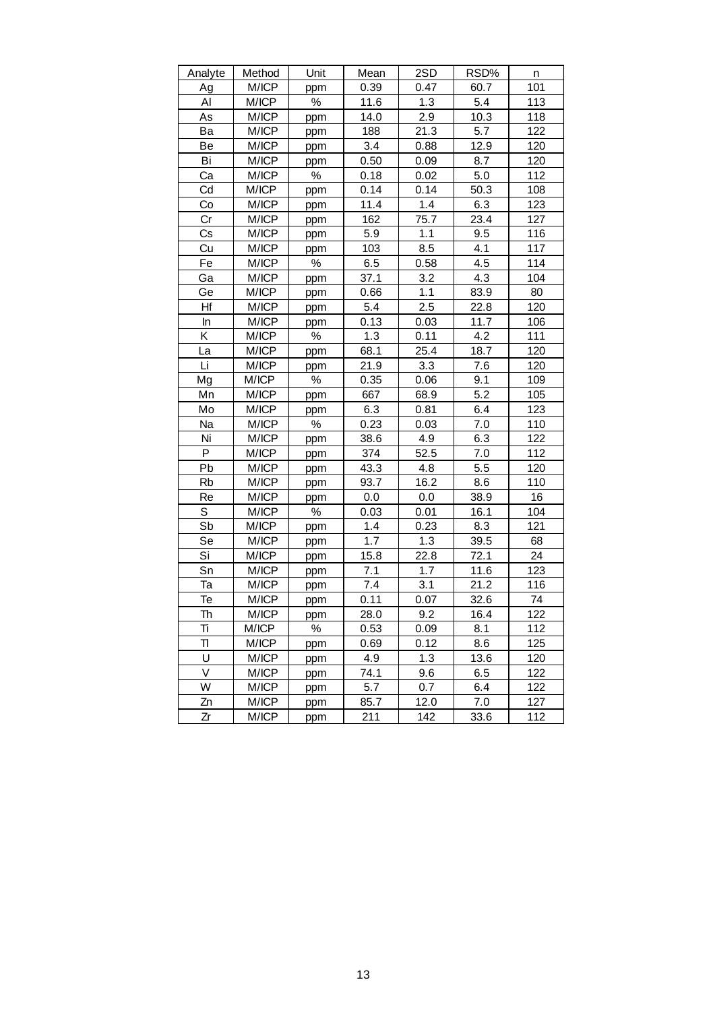| Analyte | Method | Unit | Mean | 2SD  | RSD% | n   |
|---------|--------|------|------|------|------|-----|
| Ag      | M/ICP  | ppm  | 0.39 | 0.47 | 60.7 | 101 |
| Al      | M/ICP  | $\%$ | 11.6 | 1.3  | 5.4  | 113 |
| As      | M/ICP  | ppm  | 14.0 | 2.9  | 10.3 | 118 |
| Ba      | M/ICP  | ppm  | 188  | 21.3 | 5.7  | 122 |
| Be      | M/ICP  | ppm  | 3.4  | 0.88 | 12.9 | 120 |
| Bi      | M/ICP  | ppm  | 0.50 | 0.09 | 8.7  | 120 |
| Ca      | M/ICP  | ℅    | 0.18 | 0.02 | 5.0  | 112 |
| Cd      | M/ICP  | ppm  | 0.14 | 0.14 | 50.3 | 108 |
| Co      | M/ICP  | ppm  | 11.4 | 1.4  | 6.3  | 123 |
| Cr      | M/ICP  | ppm  | 162  | 75.7 | 23.4 | 127 |
| Cs      | M/ICP  | ppm  | 5.9  | 1.1  | 9.5  | 116 |
| Cu      | M/ICP  | ppm  | 103  | 8.5  | 4.1  | 117 |
| Fe      | M/ICP  | %    | 6.5  | 0.58 | 4.5  | 114 |
| Ga      | M/ICP  | ppm  | 37.1 | 3.2  | 4.3  | 104 |
| Ge      | M/ICP  | ppm  | 0.66 | 1.1  | 83.9 | 80  |
| Hf      | M/ICP  | ppm  | 5.4  | 2.5  | 22.8 | 120 |
| In      | M/ICP  | ppm  | 0.13 | 0.03 | 11.7 | 106 |
| Κ       | M/ICP  | ℅    | 1.3  | 0.11 | 4.2  | 111 |
| La      | M/ICP  | ppm  | 68.1 | 25.4 | 18.7 | 120 |
| Li      | M/ICP  | ppm  | 21.9 | 3.3  | 7.6  | 120 |
| Mg      | M/ICP  | %    | 0.35 | 0.06 | 9.1  | 109 |
| Mn      | M/ICP  | ppm  | 667  | 68.9 | 5.2  | 105 |
| Mo      | M/ICP  | ppm  | 6.3  | 0.81 | 6.4  | 123 |
| Na      | M/ICP  | $\%$ | 0.23 | 0.03 | 7.0  | 110 |
| Ni      | M/ICP  | ppm  | 38.6 | 4.9  | 6.3  | 122 |
| P       | M/ICP  | ppm  | 374  | 52.5 | 7.0  | 112 |
| Pb      | M/ICP  | ppm  | 43.3 | 4.8  | 5.5  | 120 |
| Rb      | M/ICP  | ppm  | 93.7 | 16.2 | 8.6  | 110 |
| Re      | M/ICP  | ppm  | 0.0  | 0.0  | 38.9 | 16  |
| S       | M/ICP  | ℅    | 0.03 | 0.01 | 16.1 | 104 |
| Sb      | M/ICP  | ppm  | 1.4  | 0.23 | 8.3  | 121 |
| Se      | M/ICP  | ppm  | 1.7  | 1.3  | 39.5 | 68  |
| Si      | M/ICP  | ppm  | 15.8 | 22.8 | 72.1 | 24  |
| Sn      | M/ICP  | ppm  | 7.1  | 1.7  | 11.6 | 123 |
| Та      | M/ICP  | ppm  | 7.4  | 3.1  | 21.2 | 116 |
| Te      | M/ICP  | ppm  | 0.11 | 0.07 | 32.6 | 74  |
| Th      | M/ICP  | ppm  | 28.0 | 9.2  | 16.4 | 122 |
| Tì      | M/ICP  | %    | 0.53 | 0.09 | 8.1  | 112 |
| Π       | M/ICP  | ppm  | 0.69 | 0.12 | 8.6  | 125 |
| U       | M/ICP  | ppm  | 4.9  | 1.3  | 13.6 | 120 |
| V       | M/ICP  | ppm  | 74.1 | 9.6  | 6.5  | 122 |
| W       | M/ICP  | ppm  | 5.7  | 0.7  | 6.4  | 122 |
| Zn      | M/ICP  | ppm  | 85.7 | 12.0 | 7.0  | 127 |
| Zr      | M/ICP  | ppm  | 211  | 142  | 33.6 | 112 |